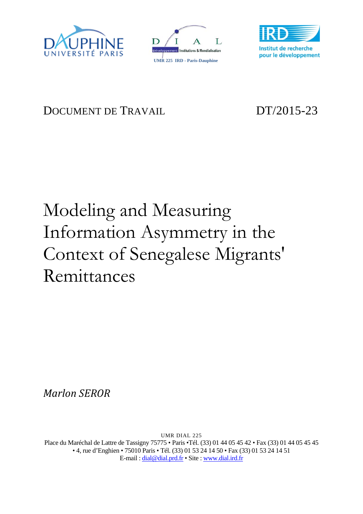





## DOCUMENT DE TRAVAIL DT/2015-23

# Modeling and Measuring Information Asymmetry in the Context of Senegalese Migrants' Remittances

*Marlon SEROR*

UMR DIAL 225 Place du Maréchal de Lattre de Tassigny 75775 • Paris •Tél. (33) 01 44 05 45 42 • Fax (33) 01 44 05 45 45 • 4, rue d'Enghien • 75010 Paris • Tél. (33) 01 53 24 14 50 • Fax (33) 01 53 24 14 51 E-mail : dial@dial.prd.fr • Site : www.dial.ird.fr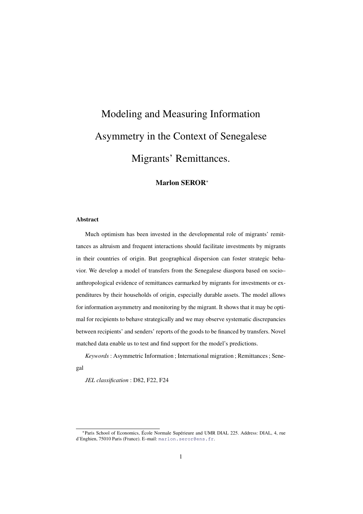## Modeling and Measuring Information Asymmetry in the Context of Senegalese Migrants' Remittances.

#### Marlon SEROR<sup>∗</sup>

#### Abstract

Much optimism has been invested in the developmental role of migrants' remittances as altruism and frequent interactions should facilitate investments by migrants in their countries of origin. But geographical dispersion can foster strategic behavior. We develop a model of transfers from the Senegalese diaspora based on socio– anthropological evidence of remittances earmarked by migrants for investments or expenditures by their households of origin, especially durable assets. The model allows for information asymmetry and monitoring by the migrant. It shows that it may be optimal for recipients to behave strategically and we may observe systematic discrepancies between recipients' and senders' reports of the goods to be financed by transfers. Novel matched data enable us to test and find support for the model's predictions.

*Keywords* : Asymmetric Information ; International migration ; Remittances ; Senegal

*JEL classification* : D82, F22, F24

<sup>\*</sup>Paris School of Economics, École Normale Supérieure and UMR DIAL 225. Address: DIAL, 4, rue d'Enghien, 75010 Paris (France). E–mail: <marlon.seror@ens.fr>.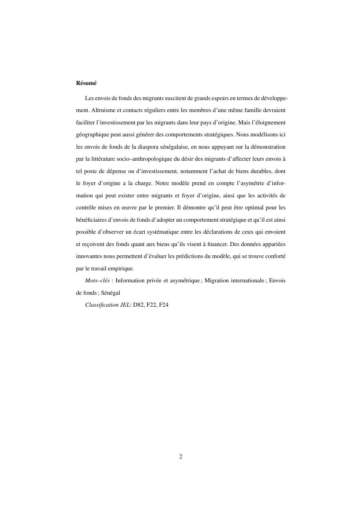#### **Résumé**

Les envois de fonds des migrants suscitent de grands espoirs en termes de développement. Altruisme et contacts réguliers entre les membres d'une même famille devraient faciliter l'investissement par les migrants dans leur pays d'origine. Mais l'eloignement ´ géographique peut aussi générer des comportements stratégiques. Nous modélisons ici les envois de fonds de la diaspora sénégalaise, en nous appuyant sur la démonstration par la littérature socio-anthropologique du désir des migrants d'affecter leurs envois à tel poste de depense ou d'investissement, notamment l'achat de biens durables, dont ´ le foyer d'origine a la charge. Notre modèle prend en compte l'asymétrie d'information qui peut exister entre migrants et foyer d'origine, ainsi que les activités de contrôle mises en œuvre par le premier. Il démontre qu'il peut être optimal pour les bénéficiaires d'envois de fonds d'adopter un comportement stratégique et qu'il est ainsi possible d'observer un écart systématique entre les déclarations de ceux qui envoient et reçoivent des fonds quant aux biens qu'ils visent à financer. Des données appariées innovantes nous permettent d'évaluer les prédictions du modèle, qui se trouve conforté par le travail empirique.

*Mots–clés* : Information privée et asymétrique ; Migration internationale ; Envois de fonds; Sénégal

*Classification JEL*: D82, F22, F24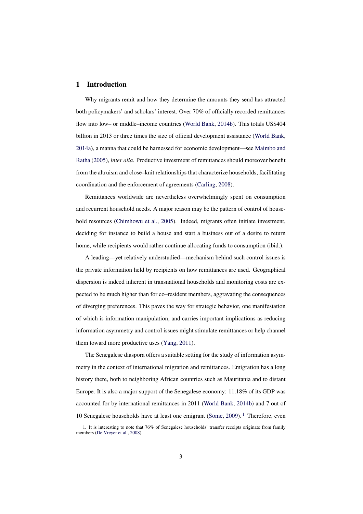#### 1 Introduction

Why migrants remit and how they determine the amounts they send has attracted both policymakers' and scholars' interest. Over 70% of officially recorded remittances flow into low– or middle–income countries [\(World Bank,](#page-39-0) [2014b\)](#page-39-0). This totals US\$404 billion in 2013 or three times the size of official development assistance [\(World Bank,](#page-39-1) [2014a\)](#page-39-1), a manna that could be harnessed for economic development—see [Maimbo and](#page-38-0) [Ratha](#page-38-0) [\(2005\)](#page-38-0), *inter alia*. Productive investment of remittances should moreover benefit from the altruism and close–knit relationships that characterize households, facilitating coordination and the enforcement of agreements [\(Carling,](#page-36-0) [2008\)](#page-36-0).

Remittances worldwide are nevertheless overwhelmingly spent on consumption and recurrent household needs. A major reason may be the pattern of control of household resources [\(Chimhowu et al.,](#page-37-0) [2005\)](#page-37-0). Indeed, migrants often initiate investment, deciding for instance to build a house and start a business out of a desire to return home, while recipients would rather continue allocating funds to consumption (ibid.).

A leading—yet relatively understudied—mechanism behind such control issues is the private information held by recipients on how remittances are used. Geographical dispersion is indeed inherent in transnational households and monitoring costs are expected to be much higher than for co–resident members, aggravating the consequences of diverging preferences. This paves the way for strategic behavior, one manifestation of which is information manipulation, and carries important implications as reducing information asymmetry and control issues might stimulate remittances or help channel them toward more productive uses [\(Yang,](#page-39-2) [2011\)](#page-39-2).

The Senegalese diaspora offers a suitable setting for the study of information asymmetry in the context of international migration and remittances. Emigration has a long history there, both to neighboring African countries such as Mauritania and to distant Europe. It is also a major support of the Senegalese economy: 11.18% of its GDP was accounted for by international remittances in 2011 [\(World Bank,](#page-39-0) [2014b\)](#page-39-0) and 7 out of 10 Senegalese households have at least one emigrant [\(Some,](#page-39-3) [2009\)](#page-39-3). <sup>[1](#page-3-0)</sup> Therefore, even

<span id="page-3-0"></span><sup>1.</sup> It is interesting to note that 76% of Senegalese households' transfer receipts originate from family members [\(De Vreyer et al.,](#page-37-1) [2008\)](#page-37-1).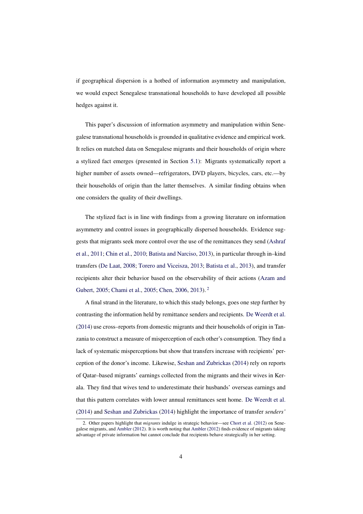if geographical dispersion is a hotbed of information asymmetry and manipulation, we would expect Senegalese transnational households to have developed all possible hedges against it.

This paper's discussion of information asymmetry and manipulation within Senegalese transnational households is grounded in qualitative evidence and empirical work. It relies on matched data on Senegalese migrants and their households of origin where a stylized fact emerges (presented in Section [5.1\)](#page-17-0): Migrants systematically report a higher number of assets owned—refrigerators, DVD players, bicycles, cars, etc.—by their households of origin than the latter themselves. A similar finding obtains when one considers the quality of their dwellings.

The stylized fact is in line with findings from a growing literature on information asymmetry and control issues in geographically dispersed households. Evidence suggests that migrants seek more control over the use of the remittances they send [\(Ashraf](#page-36-1) [et al.,](#page-36-1) [2011;](#page-36-1) [Chin et al.,](#page-37-2) [2010;](#page-37-2) [Batista and Narciso,](#page-36-2) [2013\)](#page-36-2), in particular through in–kind transfers [\(De Laat,](#page-37-3) [2008;](#page-37-3) [Torero and Viceisza,](#page-39-4) [2013;](#page-39-4) [Batista et al.,](#page-36-3) [2013\)](#page-36-3), and transfer recipients alter their behavior based on the observability of their actions [\(Azam and](#page-36-4) [Gubert,](#page-36-4) [2005;](#page-36-4) [Chami et al.,](#page-37-4) [2005;](#page-37-4) [Chen,](#page-37-5) [2006,](#page-37-5) [2013\)](#page-37-6). [2](#page-4-0)

A final strand in the literature, to which this study belongs, goes one step further by contrasting the information held by remittance senders and recipients. [De Weerdt et al.](#page-37-7) [\(2014\)](#page-37-7) use cross–reports from domestic migrants and their households of origin in Tanzania to construct a measure of misperception of each other's consumption. They find a lack of systematic misperceptions but show that transfers increase with recipients' perception of the donor's income. Likewise, [Seshan and Zubrickas](#page-38-1) [\(2014\)](#page-38-1) rely on reports of Qatar–based migrants' earnings collected from the migrants and their wives in Kerala. They find that wives tend to underestimate their husbands' overseas earnings and that this pattern correlates with lower annual remittances sent home. [De Weerdt et al.](#page-37-7) [\(2014\)](#page-37-7) and [Seshan and Zubrickas](#page-38-1) [\(2014\)](#page-38-1) highlight the importance of transfer *senders'*

<span id="page-4-0"></span><sup>2.</sup> Other papers highlight that *migrants* indulge in strategic behavior—see [Chort et al.](#page-37-8) [\(2012\)](#page-37-8) on Senegalese migrants, and [Ambler](#page-36-5) [\(2012\)](#page-36-5). It is worth noting that [Ambler](#page-36-5) [\(2012\)](#page-36-5) finds evidence of migrants taking advantage of private information but cannot conclude that recipients behave strategically in her setting.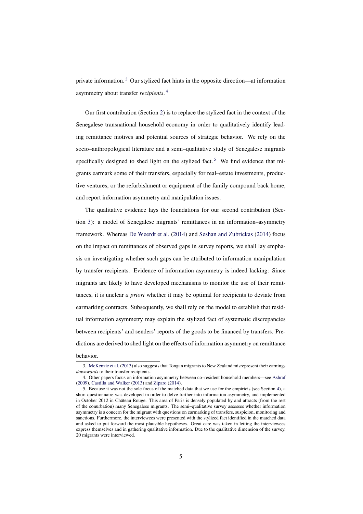private information. [3](#page-5-0) Our stylized fact hints in the opposite direction—at information asymmetry about transfer *recipients*. [4](#page-5-1)

Our first contribution (Section [2\)](#page-6-0) is to replace the stylized fact in the context of the Senegalese transnational household economy in order to qualitatively identify leading remittance motives and potential sources of strategic behavior. We rely on the socio–anthropological literature and a semi–qualitative study of Senegalese migrants specifically designed to shed light on the stylized fact.<sup>[5](#page-5-2)</sup> We find evidence that migrants earmark some of their transfers, especially for real–estate investments, productive ventures, or the refurbishment or equipment of the family compound back home, and report information asymmetry and manipulation issues.

The qualitative evidence lays the foundations for our second contribution (Section [3\)](#page-9-0): a model of Senegalese migrants' remittances in an information–asymmetry framework. Whereas [De Weerdt et al.](#page-37-7) [\(2014\)](#page-37-7) and [Seshan and Zubrickas](#page-38-1) [\(2014\)](#page-38-1) focus on the impact on remittances of observed gaps in survey reports, we shall lay emphasis on investigating whether such gaps can be attributed to information manipulation by transfer recipients. Evidence of information asymmetry is indeed lacking: Since migrants are likely to have developed mechanisms to monitor the use of their remittances, it is unclear *a priori* whether it may be optimal for recipients to deviate from earmarking contracts. Subsequently, we shall rely on the model to establish that residual information asymmetry may explain the stylized fact of systematic discrepancies between recipients' and senders' reports of the goods to be financed by transfers. Predictions are derived to shed light on the effects of information asymmetry on remittance

behavior.

<span id="page-5-0"></span><sup>3.</sup> [McKenzie et al.](#page-38-2) [\(2013\)](#page-38-2) also suggests that Tongan migrants to New Zealand misrepresent their earnings *downwards* to their transfer recipients.

<span id="page-5-1"></span><sup>4.</sup> Other papers focus on information asymmetry between co–resident household members—see [Ashraf](#page-36-6) [\(2009\)](#page-36-6), [Castilla and Walker](#page-36-7) [\(2013\)](#page-36-7) and [Ziparo](#page-39-5) [\(2014\)](#page-39-5).

<span id="page-5-2"></span><sup>5.</sup> Because it was not the sole focus of the matched data that we use for the empiricis (see Section [4\)](#page-16-0), a short questionnaire was developed in order to delve further into information asymmetry, and implemented in October 2012 in Château Rouge. This area of Paris is densely populated by and attracts (from the rest of the conurbation) many Senegalese migrants. The semi–qualitative survey assesses whether information asymmetry is a concern for the migrant with questions on earmarking of transfers, suspicion, monitoring and sanctions. Furthermore, the interviewees were presented with the stylized fact identified in the matched data and asked to put forward the most plausible hypotheses. Great care was taken in letting the interviewees express themselves and in gathering qualitative information. Due to the qualitative dimension of the survey, 20 migrants were interviewed.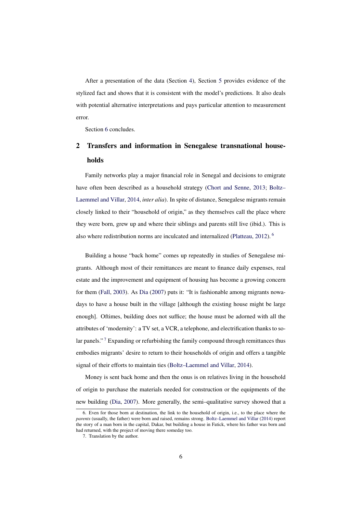After a presentation of the data (Section [4\)](#page-16-0), Section [5](#page-17-1) provides evidence of the stylized fact and shows that it is consistent with the model's predictions. It also deals with potential alternative interpretations and pays particular attention to measurement error.

Section [6](#page-33-0) concludes.

### <span id="page-6-0"></span>2 Transfers and information in Senegalese transnational households

Family networks play a major financial role in Senegal and decisions to emigrate have often been described as a household strategy [\(Chort and Senne,](#page-37-9) [2013;](#page-37-9) [Boltz–](#page-36-8) [Laemmel and Villar,](#page-36-8) [2014,](#page-36-8) *inter alia*). In spite of distance, Senegalese migrants remain closely linked to their "household of origin," as they themselves call the place where they were born, grew up and where their siblings and parents still live (ibid.). This is also where redistribution norms are inculcated and internalized [\(Platteau,](#page-38-3) [2012\)](#page-38-3). [6](#page-6-1)

Building a house "back home" comes up repeatedly in studies of Senegalese migrants. Although most of their remittances are meant to finance daily expenses, real estate and the improvement and equipment of housing has become a growing concern for them [\(Fall,](#page-38-4) [2003\)](#page-38-4). As [Dia](#page-37-10) [\(2007\)](#page-37-10) puts it: "It is fashionable among migrants nowadays to have a house built in the village [although the existing house might be large enough]. Oftimes, building does not suffice; the house must be adorned with all the attributes of 'modernity': a TV set, a VCR, a telephone, and electrification thanks to so-lar panels."<sup>[7](#page-6-2)</sup> Expanding or refurbishing the family compound through remittances thus embodies migrants' desire to return to their households of origin and offers a tangible signal of their efforts to maintain ties [\(Boltz–Laemmel and Villar,](#page-36-8) [2014\)](#page-36-8).

Money is sent back home and then the onus is on relatives living in the household of origin to purchase the materials needed for construction or the equipments of the new building [\(Dia,](#page-37-10) [2007\)](#page-37-10). More generally, the semi–qualitative survey showed that a

<span id="page-6-1"></span><sup>6.</sup> Even for those born at destination, the link to the household of origin, i.e., to the place where the *parents* (usually, the father) were born and raised, remains strong. [Boltz–Laemmel and Villar](#page-36-8) [\(2014\)](#page-36-8) report the story of a man born in the capital, Dakar, but building a house in Fatick, where his father was born and had returned, with the project of moving there someday too.

<span id="page-6-2"></span><sup>7.</sup> Translation by the author.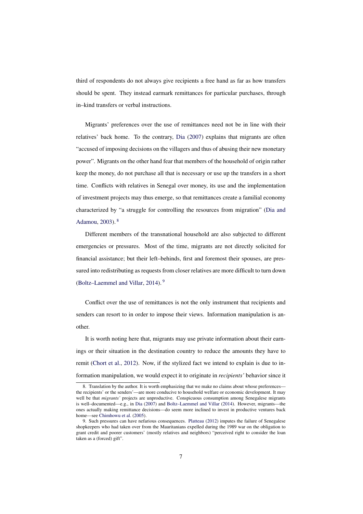third of respondents do not always give recipients a free hand as far as how transfers should be spent. They instead earmark remittances for particular purchases, through in–kind transfers or verbal instructions.

Migrants' preferences over the use of remittances need not be in line with their relatives' back home. To the contrary, [Dia](#page-37-10) [\(2007\)](#page-37-10) explains that migrants are often "accused of imposing decisions on the villagers and thus of abusing their new monetary power". Migrants on the other hand fear that members of the household of origin rather keep the money, do not purchase all that is necessary or use up the transfers in a short time. Conflicts with relatives in Senegal over money, its use and the implementation of investment projects may thus emerge, so that remittances create a familial economy characterized by "a struggle for controlling the resources from migration" [\(Dia and](#page-38-5) [Adamou,](#page-38-5) [2003\)](#page-38-5). [8](#page-7-0)

Different members of the transnational household are also subjected to different emergencies or pressures. Most of the time, migrants are not directly solicited for financial assistance; but their left–behinds, first and foremost their spouses, are pressured into redistributing as requests from closer relatives are more difficult to turn down [\(Boltz–Laemmel and Villar,](#page-36-8) [2014\)](#page-36-8). [9](#page-7-1)

Conflict over the use of remittances is not the only instrument that recipients and senders can resort to in order to impose their views. Information manipulation is another.

It is worth noting here that, migrants may use private information about their earnings or their situation in the destination country to reduce the amounts they have to remit [\(Chort et al.,](#page-37-8) [2012\)](#page-37-8). Now, if the stylized fact we intend to explain is due to information manipulation, we would expect it to originate in *recipients'* behavior since it

<span id="page-7-0"></span><sup>8.</sup> Translation by the author. It is worth emphasizing that we make no claims about whose preferences the recipients' or the senders'—are more conducive to household welfare or economic development. It may well be that *migrants'* projects are unproductive. Conspicuous consumption among Senegalese migrants is well–documented—e.g., in [Dia](#page-37-10) [\(2007\)](#page-37-10) and [Boltz–Laemmel and Villar](#page-36-8) [\(2014\)](#page-36-8). However, migrants—the ones actually making remittance decisions—do seem more inclined to invest in productive ventures back home—see [Chimhowu et al.](#page-37-0) [\(2005\)](#page-37-0).

<span id="page-7-1"></span><sup>9.</sup> Such pressures can have nefarious consequences. [Platteau](#page-38-3) [\(2012\)](#page-38-3) imputes the failure of Senegalese shopkeepers who had taken over from the Mauritanians expelled during the 1989 war on the obligation to grant credit and poorer customers' (mostly relatives and neighbors) "perceived right to consider the loan taken as a (forced) gift".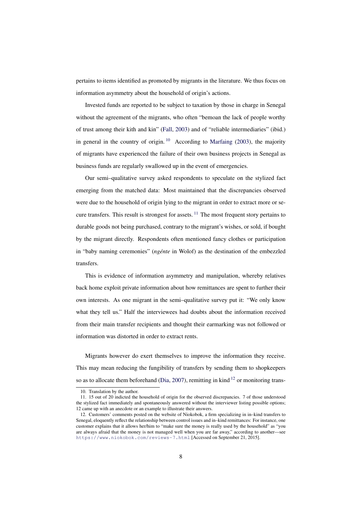pertains to items identified as promoted by migrants in the literature. We thus focus on information asymmetry about the household of origin's actions.

Invested funds are reported to be subject to taxation by those in charge in Senegal without the agreement of the migrants, who often "bemoan the lack of people worthy of trust among their kith and kin" [\(Fall,](#page-38-4) [2003\)](#page-38-4) and of "reliable intermediaries" (ibid.) in general in the country of origin. <sup>[10](#page-8-0)</sup> According to [Marfaing](#page-38-6) [\(2003\)](#page-38-6), the majority of migrants have experienced the failure of their own business projects in Senegal as business funds are regularly swallowed up in the event of emergencies.

Our semi–qualitative survey asked respondents to speculate on the stylized fact emerging from the matched data: Most maintained that the discrepancies observed were due to the household of origin lying to the migrant in order to extract more or se-cure transfers. This result is strongest for assets.<sup>[11](#page-8-1)</sup> The most frequent story pertains to durable goods not being purchased, contrary to the migrant's wishes, or sold, if bought by the migrant directly. Respondents often mentioned fancy clothes or participation in "baby naming ceremonies" *(ngénte* in Wolof) as the destination of the embezzled transfers.

This is evidence of information asymmetry and manipulation, whereby relatives back home exploit private information about how remittances are spent to further their own interests. As one migrant in the semi–qualitative survey put it: "We only know what they tell us." Half the interviewees had doubts about the information received from their main transfer recipients and thought their earmarking was not followed or information was distorted in order to extract rents.

Migrants however do exert themselves to improve the information they receive. This may mean reducing the fungibility of transfers by sending them to shopkeepers so as to allocate them beforehand [\(Dia,](#page-37-10) [2007\)](#page-37-10), remitting in kind  $^{12}$  $^{12}$  $^{12}$  or monitoring trans-

<span id="page-8-1"></span><span id="page-8-0"></span><sup>10.</sup> Translation by the author.

<sup>11. 15</sup> out of 20 indicted the household of origin for the observed discrepancies. 7 of those understood the stylized fact immediately and spontaneously answered without the interviewer listing possible options; 12 came up with an anecdote or an example to illustrate their answers.

<span id="page-8-2"></span><sup>12.</sup> Customers' comments posted on the website of Niokobok, a firm specializing in in–kind transfers to Senegal, eloquently reflect the relationship between control issues and in–kind remittances: For instance, one customer explains that it allows her/him to "make sure the money is really used by the household" as "you are always afraid that the money is not managed well when you are far away," according to another—see <https://www.niokobok.com/reviews-7.html> [Accessed on September 21, 2015].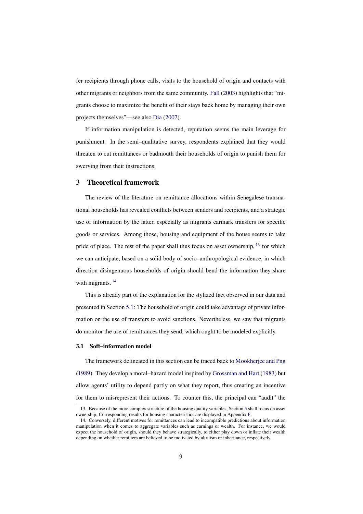fer recipients through phone calls, visits to the household of origin and contacts with other migrants or neighbors from the same community. [Fall](#page-38-4) [\(2003\)](#page-38-4) highlights that "migrants choose to maximize the benefit of their stays back home by managing their own projects themselves"—see also [Dia](#page-37-10) [\(2007\)](#page-37-10).

If information manipulation is detected, reputation seems the main leverage for punishment. In the semi–qualitative survey, respondents explained that they would threaten to cut remittances or badmouth their households of origin to punish them for swerving from their instructions.

#### <span id="page-9-0"></span>3 Theoretical framework

The review of the literature on remittance allocations within Senegalese transnational households has revealed conflicts between senders and recipients, and a strategic use of information by the latter, especially as migrants earmark transfers for specific goods or services. Among those, housing and equipment of the house seems to take pride of place. The rest of the paper shall thus focus on asset ownership,  $^{13}$  $^{13}$  $^{13}$  for which we can anticipate, based on a solid body of socio–anthropological evidence, in which direction disingenuous households of origin should bend the information they share with migrants.<sup>[14](#page-9-2)</sup>

This is already part of the explanation for the stylized fact observed in our data and presented in Section [5.1:](#page-17-0) The household of origin could take advantage of private information on the use of transfers to avoid sanctions. Nevertheless, we saw that migrants do monitor the use of remittances they send, which ought to be modeled explicitly.

#### 3.1 Soft–information model

The framework delineated in this section can be traced back to [Mookherjee and Png](#page-38-7) [\(1989\)](#page-38-7). They develop a moral–hazard model inspired by [Grossman and Hart](#page-38-8) [\(1983\)](#page-38-8) but allow agents' utility to depend partly on what they report, thus creating an incentive for them to misrepresent their actions. To counter this, the principal can "audit" the

<span id="page-9-1"></span><sup>13.</sup> Because of the more complex structure of the housing quality variables, Section [5](#page-17-1) shall focus on asset ownership. Corresponding results for housing characteristics are displayed in Appendix [F.](#page-48-0)

<span id="page-9-2"></span><sup>14.</sup> Conversely, different motives for remittances can lead to incompatible predictions about information manipulation when it comes to aggregate variables such as earnings or wealth. For instance, we would expect the household of origin, should they behave strategically, to either play down or inflate their wealth depending on whether remitters are believed to be motivated by altruism or inheritance, respectively.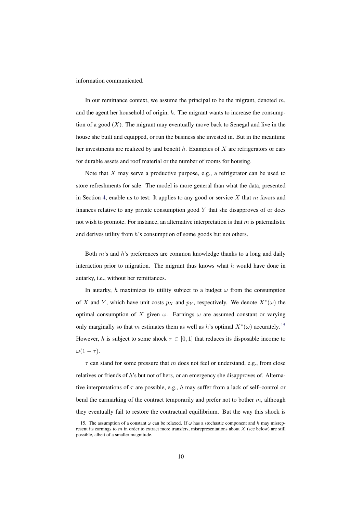information communicated.

In our remittance context, we assume the principal to be the migrant, denoted  $m$ , and the agent her household of origin,  $h$ . The migrant wants to increase the consumption of a good  $(X)$ . The migrant may eventually move back to Senegal and live in the house she built and equipped, or run the business she invested in. But in the meantime her investments are realized by and benefit  $h$ . Examples of  $X$  are refrigerators or cars for durable assets and roof material or the number of rooms for housing.

Note that  $X$  may serve a productive purpose, e.g., a refrigerator can be used to store refreshments for sale. The model is more general than what the data, presented in Section [4,](#page-16-0) enable us to test: It applies to any good or service  $X$  that  $m$  favors and finances relative to any private consumption good  $Y$  that she disapproves of or does not wish to promote. For instance, an alternative interpretation is that  $m$  is paternalistic and derives utility from  $h$ 's consumption of some goods but not others.

Both m's and h's preferences are common knowledge thanks to a long and daily interaction prior to migration. The migrant thus knows what  $h$  would have done in autarky, i.e., without her remittances.

In autarky, h maximizes its utility subject to a budget  $\omega$  from the consumption of X and Y, which have unit costs  $p_X$  and  $p_Y$ , respectively. We denote  $X^*(\omega)$  the optimal consumption of X given  $\omega$ . Earnings  $\omega$  are assumed constant or varying only marginally so that m estimates them as well as h's optimal  $X^*(\omega)$  accurately.<sup>[15](#page-10-0)</sup> However, h is subject to some shock  $\tau \in [0, 1]$  that reduces its disposable income to  $\omega(1-\tau)$ .

 $\tau$  can stand for some pressure that m does not feel or understand, e.g., from close relatives or friends of  $h$ 's but not of hers, or an emergency she disapproves of. Alternative interpretations of  $\tau$  are possible, e.g., h may suffer from a lack of self–control or bend the earmarking of the contract temporarily and prefer not to bother  $m$ , although they eventually fail to restore the contractual equilibrium. But the way this shock is

<span id="page-10-0"></span><sup>15.</sup> The assumption of a constant  $\omega$  can be relaxed. If  $\omega$  has a stochastic component and h may misrepresent its earnings to  $m$  in order to extract more transfers, misrepresentations about  $X$  (see below) are still possible, albeit of a smaller magnitude.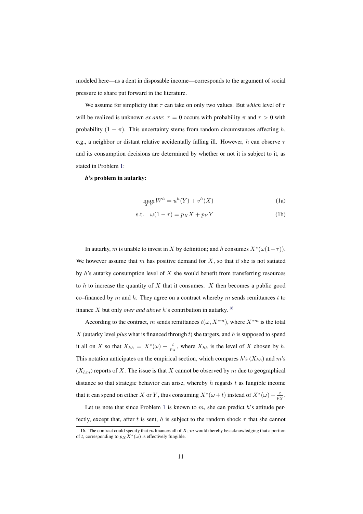modeled here—as a dent in disposable income—corresponds to the argument of social pressure to share put forward in the literature.

We assume for simplicity that  $\tau$  can take on only two values. But *which* level of  $\tau$ will be realized is unknown *ex ante*:  $\tau = 0$  occurs with probability  $\pi$  and  $\tau > 0$  with probability  $(1 - \pi)$ . This uncertainty stems from random circumstances affecting h, e.g., a neighbor or distant relative accidentally falling ill. However, h can observe  $\tau$ and its consumption decisions are determined by whether or not it is subject to it, as stated in Problem [1:](#page-11-0)

#### *h*'s problem in autarky:

<span id="page-11-0"></span>
$$
\max_{X,Y} W^h = u^h(Y) + v^h(X) \tag{1a}
$$

$$
s.t. \t\omega(1-\tau) = p_X X + p_Y Y \t\t(1b)
$$

In autarky, m is unable to invest in X by definition; and h consumes  $X^*(\omega(1-\tau))$ . We however assume that m has positive demand for  $X$ , so that if she is not satiated by  $h$ 's autarky consumption level of  $X$  she would benefit from transferring resources to h to increase the quantity of  $X$  that it consumes.  $X$  then becomes a public good co–financed by m and h. They agree on a contract whereby m sends remittances t to finance X but only *over and above* h's contribution in autarky. [16](#page-11-1)

According to the contract, m sends remittances  $t(\omega, X^{*m})$ , where  $X^{*m}$  is the total X (autarky level *plus* what is financed through  $t$ ) she targets, and  $h$  is supposed to spend it all on X so that  $X_{hh} = X^*(\omega) + \frac{t}{px}$ , where  $X_{hh}$  is the level of X chosen by h. This notation anticipates on the empirical section, which compares  $h$ 's  $(X_{hh})$  and  $m$ 's  $(X_{hm})$  reports of X. The issue is that X cannot be observed by m due to geographical distance so that strategic behavior can arise, whereby h regards t as fungible income that it can spend on either X or Y, thus consuming  $X^*(\omega + t)$  instead of  $X^*(\omega) + \frac{t}{px}$ .

Let us note that since Problem [1](#page-11-0) is known to  $m$ , she can predict  $h$ 's attitude perfectly, except that, after t is sent, h is subject to the random shock  $\tau$  that she cannot

<span id="page-11-1"></span><sup>16.</sup> The contract could specify that m finances all of  $X$ ; m would thereby be acknowledging that a portion of t, corresponding to  $p_X\ddot{X}^*(\omega)$  is effectively fungible.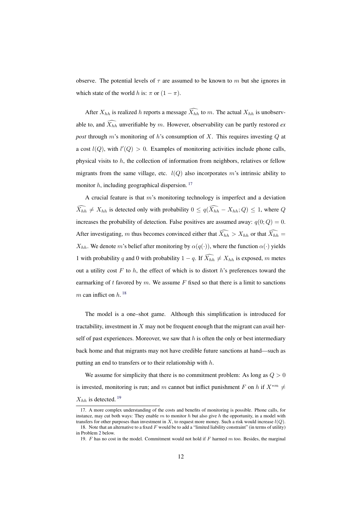observe. The potential levels of  $\tau$  are assumed to be known to m but she ignores in which state of the world h is:  $\pi$  or  $(1 - \pi)$ .

After  $X_{hh}$  is realized h reports a message  $\widehat{X_{hh}}$  to m. The actual  $X_{hh}$  is unobservable to, and  $\widehat{X}_{hh}$  unverifiable by m. However, observability can be partly restored *ex post* through m's monitoring of h's consumption of X. This requires investing Q at a cost  $l(Q)$ , with  $l'(Q) > 0$ . Examples of monitoring activities include phone calls, physical visits to  $h$ , the collection of information from neighbors, relatives or fellow migrants from the same village, etc.  $l(Q)$  also incorporates m's intrinsic ability to monitor h, including geographical dispersion.  $17$ 

A crucial feature is that m's monitoring technology is imperfect and a deviation  $\widehat{X_{hh}} \neq X_{hh}$  is detected only with probability  $0 \leq q(\widehat{X_{hh}} - X_{hh}; Q) \leq 1$ , where Q increases the probability of detection. False positives are assumed away:  $q(0; Q) = 0$ . After investigating, m thus becomes convinced either that  $\widehat{X_{hh}} > X_{hh}$  or that  $\widehat{X_{hh}} =$  $X_{hh}$ . We denote m's belief after monitoring by  $\alpha(q(\cdot))$ , where the function  $\alpha(\cdot)$  yields 1 with probability q and 0 with probability 1 – q. If  $\widehat{X_{hh}} \neq X_{hh}$  is exposed, m metes out a utility cost  $F$  to  $h$ , the effect of which is to distort  $h$ 's preferences toward the earmarking of  $t$  favored by  $m$ . We assume  $F$  fixed so that there is a limit to sanctions m can inflict on  $h$ . <sup>[18](#page-12-1)</sup>

The model is a one–shot game. Although this simplification is introduced for tractability, investment in  $X$  may not be frequent enough that the migrant can avail herself of past experiences. Moreover, we saw that  $h$  is often the only or best intermediary back home and that migrants may not have credible future sanctions at hand—such as putting an end to transfers or to their relationship with  $h$ .

We assume for simplicity that there is no commitment problem: As long as  $Q > 0$ is invested, monitoring is run; and m cannot but inflict punishment F on h if  $X^{*m} \neq$  $X_{hh}$  is detected. <sup>[19](#page-12-2)</sup>

<span id="page-12-0"></span><sup>17.</sup> A more complex understanding of the costs and benefits of monitoring is possible. Phone calls, for instance, may cut both ways: They enable  $m$  to monitor  $h$  but also give  $h$  the opportunity, in a model with transfers for other purposes than investment in X, to request more money. Such a risk would increase  $l(Q)$ .

<span id="page-12-1"></span><sup>18.</sup> Note that an alternative to a fixed  $F$  would be to add a "limited liability constraint" (in terms of utility) in Problem [2](#page-13-0) below.

<span id="page-12-2"></span><sup>19.</sup>  $F$  has no cost in the model. Commitment would not hold if  $F$  harmed  $m$  too. Besides, the marginal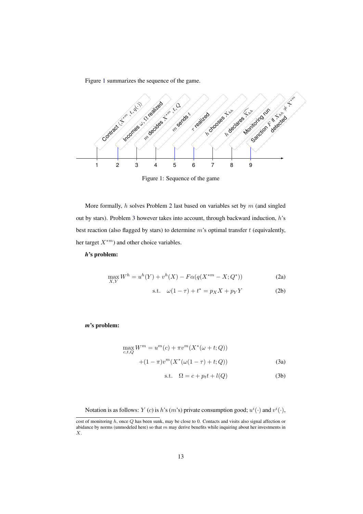Figure [1](#page-13-1) summarizes the sequence of the game.

<span id="page-13-1"></span>

Figure 1: Sequence of the game

More formally,  $h$  solves Problem [2](#page-13-0) last based on variables set by  $m$  (and singled out by stars). Problem [3](#page-13-2) however takes into account, through backward induction, h's best reaction (also flagged by stars) to determine  $m$ 's optimal transfer  $t$  (equivalently, her target  $X^{*m}$ ) and other choice variables.

#### *h*'s problem:

<span id="page-13-0"></span>
$$
\max_{X,Y} W^h = u^h(Y) + v^h(X) - F\alpha(q(X^{*m} - X; Q^*))
$$
 (2a)

s.t. 
$$
\omega(1-\tau) + t^* = p_X X + p_Y Y
$$
 (2b)

*m*'s problem:

<span id="page-13-2"></span>
$$
\max_{c,t,Q} W^m = u^m(c) + \pi v^m(X^*(\omega + t; Q))
$$
  
+(1 -  $\pi$ ) $v^m(X^*(\omega(1 - \tau) + t; Q))$  (3a)

$$
s.t. \quad \Omega = c + p_t t + l(Q) \tag{3b}
$$

Notation is as follows: Y (c) is h's (m's) private consumption good;  $u^{i}(\cdot)$  and  $v^{i}(\cdot)$ ,

cost of monitoring h, once Q has been sunk, may be close to 0. Contacts and visits also signal affection or abidance by norms (unmodeled here) so that  $m$  may derive benefits while inquiring about her investments in  $\boldsymbol{X}.$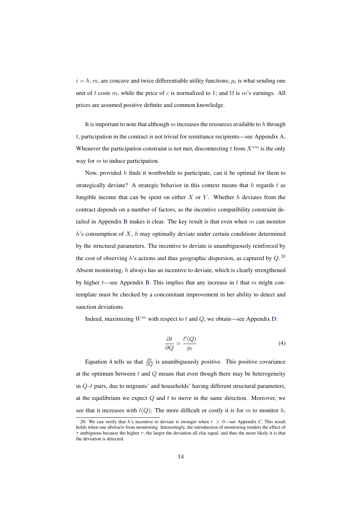$i = h, m$ , are concave and twice differentiable utility functions;  $p_t$  is what sending one unit of t costs m, while the price of c is normalized to 1; and  $\Omega$  is m's earnings. All prices are assumed positive definite and common knowledge.

It is important to note that although  $m$  increases the resources available to h through  $t$ , participation in the contract is not trivial for remittance recipients—see Appendix [A.](#page-40-0) Whenever the participation constraint is not met, disconnecting t from  $X^{*m}$  is the only way for  $m$  to induce participation.

Now, provided  $h$  finds it worthwhile to participate, can it be optimal for them to strategically deviate? A strategic behavior in this context means that h regards t as fungible income that can be spent on either  $X$  or  $Y$ . Whether  $h$  deviates from the contract depends on a number of factors, as the incentive compatibility constraint de-tailed in Appendix [B](#page-41-0) makes it clear. The key result is that even when  $m$  can monitor  $h$ 's consumption of X,  $h$  may optimally deviate under certain conditions determined by the structural parameters. The incentive to deviate is unambiguously reinforced by the cost of observing h's actions and thus geographic dispersion, as captured by  $Q$ . <sup>[20](#page-14-0)</sup> Absent monitoring, h always has an incentive to deviate, which is clearly strengthened by higher  $t$ —see Appendix [B.](#page-41-0) This implies that any increase in  $t$  that  $m$  might contemplate must be checked by a concomitant improvement in her ability to detect and sanction deviations.

Indeed, maximizing  $W^m$  with respect to t and Q, we obtain—see Appendix [D:](#page-43-0)

<span id="page-14-1"></span>
$$
\frac{\partial t}{\partial Q} = \frac{l'(Q)}{p_t} \tag{4}
$$

Equation [4](#page-14-1) tells us that  $\frac{\partial t}{\partial Q}$  is unambiguously positive. This positive covariance at the optimum between  $t$  and  $Q$  means that even though there may be heterogeneity in  $Q-t$  pairs, due to migrants' and households' having different structural parameters, at the equilibrium we expect  $Q$  and  $t$  to move in the same direction. Moreover, we see that it increases with  $l(Q)$ : The more difficult or costly it is for m to monitor h,

<span id="page-14-0"></span><sup>20.</sup> We can verify that h's incentive to deviate is stronger when  $\tau > 0$ —see Appendix [C.](#page-43-1) This result holds when one abstracts from monitoring. Interestingly, the introduction of monitoring renders the effect of  $\tau$  ambiguous because the higher  $\tau$ , the larger the deviation all else equal, and thus the more likely it is that the deviation is detected.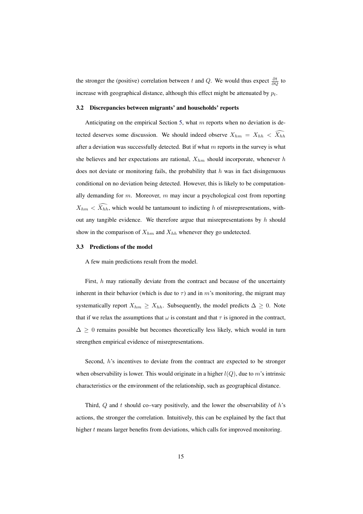the stronger the (positive) correlation between t and Q. We would thus expect  $\frac{\partial t}{\partial Q}$  to increase with geographical distance, although this effect might be attenuated by  $p_t$ .

#### 3.2 Discrepancies between migrants' and households' reports

Anticipating on the empirical Section [5,](#page-17-1) what  $m$  reports when no deviation is detected deserves some discussion. We should indeed observe  $X_{hm} = X_{hh} < \widehat{X_{hh}}$ after a deviation was successfully detected. But if what  $m$  reports in the survey is what she believes and her expectations are rational,  $X_{hm}$  should incorporate, whenever h does not deviate or monitoring fails, the probability that  $h$  was in fact disingenuous conditional on no deviation being detected. However, this is likely to be computationally demanding for  $m$ . Moreover,  $m$  may incur a psychological cost from reporting  $X_{hm} < \widehat{X_{hh}}$ , which would be tantamount to indicting h of misrepresentations, without any tangible evidence. We therefore argue that misrepresentations by  $h$  should show in the comparison of  $X_{hm}$  and  $X_{hh}$  whenever they go undetected.

#### 3.3 Predictions of the model

A few main predictions result from the model.

First, h may rationally deviate from the contract and because of the uncertainty inherent in their behavior (which is due to  $\tau$ ) and in m's monitoring, the migrant may systematically report  $X_{hm} \geq X_{hh}$ . Subsequently, the model predicts  $\Delta \geq 0$ . Note that if we relax the assumptions that  $\omega$  is constant and that  $\tau$  is ignored in the contract,  $\Delta \geq 0$  remains possible but becomes theoretically less likely, which would in turn strengthen empirical evidence of misrepresentations.

Second, h's incentives to deviate from the contract are expected to be stronger when observability is lower. This would originate in a higher  $l(Q)$ , due to m's intrinsic characteristics or the environment of the relationship, such as geographical distance.

Third,  $Q$  and  $t$  should co–vary positively, and the lower the observability of  $h$ 's actions, the stronger the correlation. Intuitively, this can be explained by the fact that higher  $t$  means larger benefits from deviations, which calls for improved monitoring.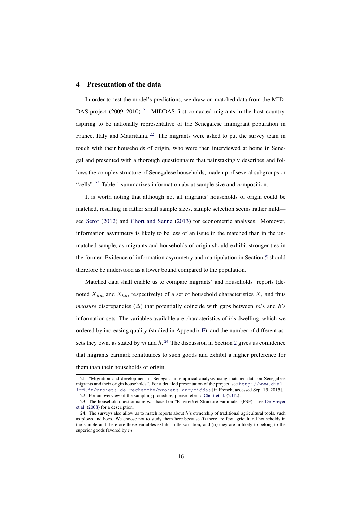#### <span id="page-16-0"></span>4 Presentation of the data

In order to test the model's predictions, we draw on matched data from the MID-DAS project  $(2009-2010)$ .<sup>[21](#page-16-1)</sup> MIDDAS first contacted migrants in the host country, aspiring to be nationally representative of the Senegalese immigrant population in France, Italy and Mauritania.<sup>[22](#page-16-2)</sup> The migrants were asked to put the survey team in touch with their households of origin, who were then interviewed at home in Senegal and presented with a thorough questionnaire that painstakingly describes and follows the complex structure of Senegalese households, made up of several subgroups or "cells".<sup>[23](#page-16-3)</sup> Table [1](#page-17-2) summarizes information about sample size and composition.

It is worth noting that although not all migrants' households of origin could be matched, resulting in rather small sample sizes, sample selection seems rather mild see [Seror](#page-38-9) [\(2012\)](#page-38-9) and [Chort and Senne](#page-37-9) [\(2013\)](#page-37-9) for econometric analyses. Moreover, information asymmetry is likely to be less of an issue in the matched than in the unmatched sample, as migrants and households of origin should exhibit stronger ties in the former. Evidence of information asymmetry and manipulation in Section [5](#page-17-1) should therefore be understood as a lower bound compared to the population.

Matched data shall enable us to compare migrants' and households' reports (denoted  $X_{hm}$  and  $X_{hh}$ , respectively) of a set of household characteristics X, and thus *measure* discrepancies ( $\Delta$ ) that potentially coincide with gaps between m's and h's information sets. The variables available are characteristics of  $h$ 's dwelling, which we ordered by increasing quality (studied in Appendix [F\)](#page-48-0), and the number of different assets they own, as stated by m and  $h<sup>24</sup>$  $h<sup>24</sup>$  $h<sup>24</sup>$ . The discussion in Section [2](#page-6-0) gives us confidence that migrants earmark remittances to such goods and exhibit a higher preference for them than their households of origin.

<span id="page-16-1"></span><sup>21. &</sup>quot;Migration and development in Senegal: an empirical analysis using matched data on Senegalese migrants and their origin households". For a detailed presentation of the project, see [http://www.dial.](http://www.dial.ird.fr/projets-de-recherche/projets-anr/middas) [ird.fr/projets-de-recherche/projets-anr/middas](http://www.dial.ird.fr/projets-de-recherche/projets-anr/middas) [in French; accessed Sep. 15, 2015].

<span id="page-16-2"></span><sup>22.</sup> For an overview of the sampling procedure, please refer to [Chort et al.](#page-37-8) [\(2012\)](#page-37-8).

<span id="page-16-3"></span><sup>23.</sup> The household questionnaire was based on "Pauvreté et Structure Familiale" (PSF)—see [De Vreyer](#page-37-1)

[et al.](#page-37-1) [\(2008\)](#page-37-1) for a description.

<span id="page-16-4"></span><sup>24.</sup> The surveys also allow us to match reports about  $h$ 's ownership of traditional agricultural tools, such as plows and hoes. We choose not to study them here because (i) there are few agricultural households in the sample and therefore those variables exhibit little variation, and (ii) they are unlikely to belong to the superior goods favored by m.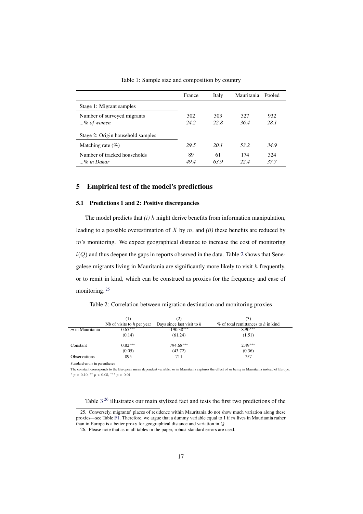<span id="page-17-2"></span>

|                                   | France     | Italy      | Mauritania Pooled |             |
|-----------------------------------|------------|------------|-------------------|-------------|
| Stage 1: Migrant samples          |            |            |                   |             |
| Number of surveyed migrants       | 302        | 303        | 327               | 932         |
| $\ldots\%$ of women               | 24.2       | 22.8       | 36.4              | 28.1        |
| Stage 2: Origin household samples |            |            |                   |             |
| Matching rate $(\% )$             | 29.5       | 20. I      | 53.2              | 34.9        |
| Number of tracked households      | 89<br>49.4 | 61<br>63.9 | 174<br>22.4       | 324<br>37.7 |

Table 1: Sample size and composition by country

#### <span id="page-17-1"></span>5 Empirical test of the model's predictions

#### <span id="page-17-0"></span>5.1 Predictions 1 and 2: Positive discrepancies

The model predicts that *(i)* h might derive benefits from information manipulation, leading to a possible overestimation of X by m, and *(ii)* these benefits are reduced by  $m$ 's monitoring. We expect geographical distance to increase the cost of monitoring  $l(Q)$  and thus deepen the gaps in reports observed in the data. Table [2](#page-17-3) shows that Senegalese migrants living in Mauritania are significantly more likely to visit  $h$  frequently, or to remit in kind, which can be construed as proxies for the frequency and ease of monitoring. [25](#page-17-4)

<span id="page-17-3"></span>Table 2: Correlation between migration destination and monitoring proxies

|                     | (1)                          | (2)                          | (3)                                    |
|---------------------|------------------------------|------------------------------|----------------------------------------|
|                     | Nb of visits to $h$ per year | Days since last visit to $h$ | $\%$ of total remittances to h in kind |
| $m$ in Mauritania   | $0.65***$                    | $-190.38***$                 | $8.90***$                              |
|                     | (0.14)                       | (61.24)                      | (1.51)                                 |
| Constant            | $0.82***$                    | 794.68***                    | $2.49***$                              |
|                     | (0.05)                       | (43.72)                      | (0.36)                                 |
| <b>Observations</b> | 895                          | 711                          | 757                                    |

Standard errors in parentheses

The constant corresponds to the European mean dependent variable.  $m$  in Mauritania captures the effect of  $m$  being in Mauritania instead of Europe.  $*$   $p$  < 0.10,  $*$   $*$   $p$  < 0.05,  $*$   $*$   $*$   $p$  < 0.01

#### <span id="page-17-4"></span>Table [3](#page-19-0)<sup>[26](#page-17-5)</sup> illustrates our main stylized fact and tests the first two predictions of the

<sup>25.</sup> Conversely, migrants' places of residence within Mauritania do not show much variation along these proxies—see Table [F1.](#page-49-0) Therefore, we argue that a dummy variable equal to 1 if m lives in Mauritania rather than in Europe is a better proxy for geographical distance and variation in Q.

<span id="page-17-5"></span><sup>26.</sup> Please note that as in all tables in the paper, robust standard errors are used.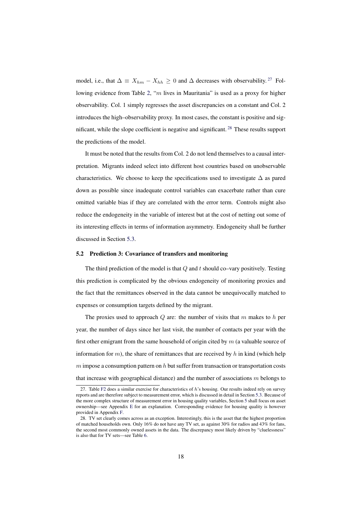model, i.e., that  $\Delta \equiv X_{hm} - X_{hh} \geq 0$  and  $\Delta$  decreases with observability.<sup>[27](#page-18-0)</sup> Following evidence from Table [2,](#page-17-3) "m lives in Mauritania" is used as a proxy for higher observability. Col. 1 simply regresses the asset discrepancies on a constant and Col. 2 introduces the high–observability proxy. In most cases, the constant is positive and significant, while the slope coefficient is negative and significant.  $^{28}$  $^{28}$  $^{28}$  These results support the predictions of the model.

It must be noted that the results from Col. 2 do not lend themselves to a causal interpretation. Migrants indeed select into different host countries based on unobservable characteristics. We choose to keep the specifications used to investigate  $\Delta$  as pared down as possible since inadequate control variables can exacerbate rather than cure omitted variable bias if they are correlated with the error term. Controls might also reduce the endogeneity in the variable of interest but at the cost of netting out some of its interesting effects in terms of information asymmetry. Endogeneity shall be further discussed in Section [5.3.](#page-20-0)

#### 5.2 Prediction 3: Covariance of transfers and monitoring

The third prediction of the model is that  $Q$  and  $t$  should co–vary positively. Testing this prediction is complicated by the obvious endogeneity of monitoring proxies and the fact that the remittances observed in the data cannot be unequivocally matched to expenses or consumption targets defined by the migrant.

The proxies used to approach  $Q$  are: the number of visits that  $m$  makes to  $h$  per year, the number of days since her last visit, the number of contacts per year with the first other emigrant from the same household of origin cited by  $m$  (a valuable source of information for  $m$ ), the share of remittances that are received by  $h$  in kind (which help  $m$  impose a consumption pattern on  $h$  but suffer from transaction or transportation costs that increase with geographical distance) and the number of associations  $m$  belongs to

<span id="page-18-0"></span><sup>27.</sup> Table [F2](#page-49-1) does a similar exercise for characteristics of  $h$ 's housing. Our results indeed rely on survey reports and are therefore subject to measurement error, which is discussed in detail in Section [5.3.](#page-20-0) Because of the more complex structure of measurement error in housing quality variables, Section [5](#page-17-1) shall focus on asset ownership—see Appendix [E](#page-44-0) for an explanation. Corresponding evidence for housing quality is however provided in Appendix [F.](#page-48-0)

<span id="page-18-1"></span><sup>28.</sup> TV set clearly comes across as an exception. Interestingly, this is the asset that the highest proportion of matched households own. Only 16% do not have any TV set, as against 30% for radios and 43% for fans, the second most commonly owned assets in the data. The discrepancy most likely driven by "cluelessness" is also that for TV sets—see Table [6.](#page-24-0)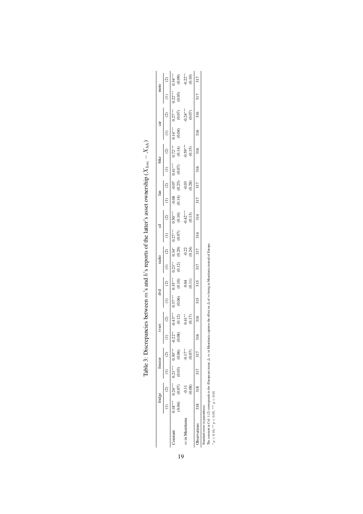<span id="page-19-0"></span>

|                 | <sup>fridge</sup>                                            | freezer           |           | tyset     |                      | dvd                 |                     | radio                |                                 | चु                  |                      | fan               |                     | bike                |                      | car                 |                       | moto                |                                           |
|-----------------|--------------------------------------------------------------|-------------------|-----------|-----------|----------------------|---------------------|---------------------|----------------------|---------------------------------|---------------------|----------------------|-------------------|---------------------|---------------------|----------------------|---------------------|-----------------------|---------------------|-------------------------------------------|
|                 |                                                              |                   |           |           | $\widehat{c}$        |                     |                     |                      | $\widehat{c}$                   |                     | $\widehat{c}$        |                   | $\odot$             |                     | $\widehat{c}$        |                     | $\widehat{\infty}$    |                     | $\widehat{c}$                             |
| onstant         | $0.18***$ $0.24***$ $0.21***$ $0.30***$<br>$(0.04)$ $(0.07)$ | $(0.03)$ $(0.06)$ |           | $-0.22**$ | $-0.43***$<br>(0.12) | $0.37***$<br>(0.06) | $0.35***$<br>(0.10) | $0.23**$<br>$(0.12)$ | $0.34$ <sup>*</sup><br>$(0.20)$ | $0.27***$<br>(0.07) | $0.50***$<br>(0.10)  | (0.14)<br>$-0.08$ | (0.25)<br>$-0.07$   | $0.41***$<br>(0.07) | $0.72***$<br>(0.14)  | $0.14***$<br>(0.04) | $0.27***$<br>(0.07)   | $0.22***$<br>(0.05) |                                           |
| a in Mauritania | (0.08)                                                       |                   | $-0.17**$ |           | $0.41**$<br>$(0.17)$ |                     | 0.11                |                      | $-0.22$<br>$(0.24)$             |                     | $-0.42***$<br>(0.13) |                   | $-0.03$<br>$(0.28)$ |                     | $-0.59***$<br>(0.15) |                     | $0.24***$<br>$(0.07)$ |                     | $0.34***$<br>$0.09$<br>$0.02**$<br>$0.10$ |
| bservations     | $318$ $318$ $317$ $317$                                      |                   |           | 316       | 316                  | 315                 | 315                 | 317                  | 317                             | 314                 | 314                  | 317               | 317                 | 316                 | 316                  | 316                 | 316                   | 317                 | 317                                       |

Table 3: Discrepancies between m's and h's reports of the latter's asset ownership ( $X_{hm} - X_{hh}$ ) Table 3: Discrepancies between m's and h's reports of the latter's asset ownership ( $X_{hm} - X_{hh}$ )

Standard errors in parentheses

19

The constant in Col. 1 (2) corresponds to the (European) mean ∆. m in Mauritania captures the effect on ∆ of m being in Mauritania instead of Europe.<br>\* a ∠ o 10 \*\* a ∠ 0 05 \*\*\* a ∠ 0 01 Standard erros in parentheses<br>
\* The constant in Col. 1 (2) corresponds to the (European) mean  $\Delta$ ,  $m$  in Mauritania captures the effect on  $\Delta$  of  $m$  being in Mauritania instead of Europe.<br>
\*  $p < 0.10$ , \*\*  $p < 0.05$ ,

p < 0.10, ∗∗ p < 0.05, ∗∗∗ p < 0.01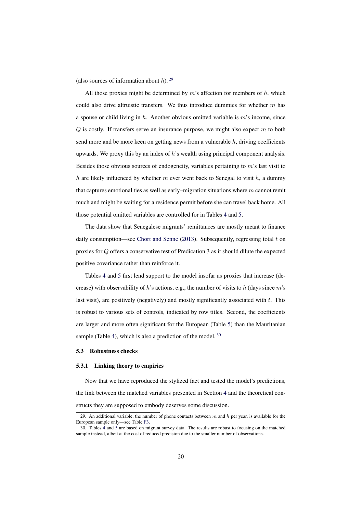(also sources of information about  $h$ ). <sup>[29](#page-20-1)</sup>

All those proxies might be determined by  $m$ 's affection for members of  $h$ , which could also drive altruistic transfers. We thus introduce dummies for whether  $m$  has a spouse or child living in  $h$ . Another obvious omitted variable is m's income, since  $Q$  is costly. If transfers serve an insurance purpose, we might also expect  $m$  to both send more and be more keen on getting news from a vulnerable  $h$ , driving coefficients upwards. We proxy this by an index of  $h$ 's wealth using principal component analysis. Besides those obvious sources of endogeneity, variables pertaining to  $m$ 's last visit to h are likely influenced by whether m ever went back to Senegal to visit h, a dummy that captures emotional ties as well as early–migration situations where  $m$  cannot remit much and might be waiting for a residence permit before she can travel back home. All those potential omitted variables are controlled for in Tables [4](#page-21-0) and [5.](#page-22-0)

The data show that Senegalese migrants' remittances are mostly meant to finance daily consumption—see [Chort and Senne](#page-37-9)  $(2013)$ . Subsequently, regressing total t on proxies for Q offers a conservative test of Predication 3 as it should dilute the expected positive covariance rather than reinforce it.

Tables [4](#page-21-0) and [5](#page-22-0) first lend support to the model insofar as proxies that increase (decrease) with observability of h's actions, e.g., the number of visits to h (days since  $m$ 's last visit), are positively (negatively) and mostly significantly associated with  $t$ . This is robust to various sets of controls, indicated by row titles. Second, the coefficients are larger and more often significant for the European (Table [5\)](#page-22-0) than the Mauritanian sample (Table [4\)](#page-21-0), which is also a prediction of the model.  $30$ 

#### <span id="page-20-0"></span>5.3 Robustness checks

#### 5.3.1 Linking theory to empirics

Now that we have reproduced the stylized fact and tested the model's predictions, the link between the matched variables presented in Section [4](#page-16-0) and the theoretical constructs they are supposed to embody deserves some discussion.

<span id="page-20-1"></span><sup>29.</sup> An additional variable, the number of phone contacts between  $m$  and  $h$  per year, is available for the European sample only—see Table [F3.](#page-50-0)

<span id="page-20-2"></span><sup>30.</sup> Tables [4](#page-21-0) and [5](#page-22-0) are based on migrant survey data. The results are robust to focusing on the matched sample instead, albeit at the cost of reduced precision due to the smaller number of observations.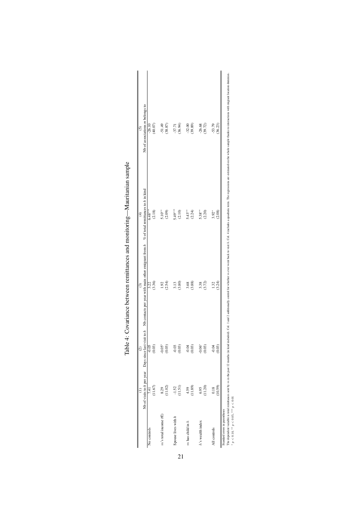<span id="page-21-0"></span>

|                                |         | $\odot$  | ි                                                                                                                                                            | $\widehat{f}$ | ତି                                                                                                                                                                                                                             |  |
|--------------------------------|---------|----------|--------------------------------------------------------------------------------------------------------------------------------------------------------------|---------------|--------------------------------------------------------------------------------------------------------------------------------------------------------------------------------------------------------------------------------|--|
|                                |         |          | No of visits to h per year Days since last visit to h Nb contacts per year with main other emigrant from $h \propto \omega_0$ fotal remittances to h in kind |               | Nb of associations m belongs to                                                                                                                                                                                                |  |
| No controls                    | 7.41    | $-0.05$  | 3.22                                                                                                                                                         | $6.48***$     | $-26.10$                                                                                                                                                                                                                       |  |
|                                | (11.67) | (0.03)   | (3.36)                                                                                                                                                       | (2.18)        | (40.07)                                                                                                                                                                                                                        |  |
| $m$ 's total income $(\in)$    | 8.29    | $-0.05*$ | 1.92                                                                                                                                                         | $5.10***$     | $-51.49$                                                                                                                                                                                                                       |  |
|                                | (11.02) | (0.03)   | (2.54)                                                                                                                                                       | (2.09)        | (38.87)                                                                                                                                                                                                                        |  |
| Spouse lives with h            | $-1.52$ | $-0.03$  | 3.13                                                                                                                                                         | $5.49***$     | $-37.71$                                                                                                                                                                                                                       |  |
|                                | (11.51) | (0.03)   | (3.80)                                                                                                                                                       | (2.10)        | (36.94)                                                                                                                                                                                                                        |  |
| $m$ has child in $h$           | 4.59    | $-0.04$  | 3.68                                                                                                                                                         | $5.43**$      | $-32.00$                                                                                                                                                                                                                       |  |
|                                | (11.89) | (0.03)   | (3.88)                                                                                                                                                       | (2.24)        | (39.89)                                                                                                                                                                                                                        |  |
| h's wealth index               | 6.95    | $-0.06*$ | 3.38                                                                                                                                                         | $5.38***$     | $-26.68$                                                                                                                                                                                                                       |  |
|                                | (11.20) | (0.03)   | (3.72)                                                                                                                                                       | (2.20)        | (39.72)                                                                                                                                                                                                                        |  |
| All controls                   | 0.18    | $-0.04$  | 1.32                                                                                                                                                         | $3.92*$       | $-53.79$                                                                                                                                                                                                                       |  |
|                                | 10.59   | (0.03)   | (3.24)                                                                                                                                                       | (2.08)        | (36.23)                                                                                                                                                                                                                        |  |
| Standard errors in parentheses |         |          |                                                                                                                                                              |               |                                                                                                                                                                                                                                |  |
|                                |         |          |                                                                                                                                                              |               | The dependent variable is total remittances sent by m in the past 12 months (in kind included). Col. 1 and 2 additionally control for whether m ever went back to visit h. Col. 4 includes a quadratic term. The regressions a |  |

| Table 4: Covariance between remittances and monitoring—Mauritanian sample |  |
|---------------------------------------------------------------------------|--|
|                                                                           |  |
|                                                                           |  |

 $\begin{tabular}{|c|c|} \hline \quad \quad & \quad \quad & \quad \quad \\ \hline \quad \quad & \quad \quad & \quad \quad \\ \hline \quad \quad & \quad \quad & \quad \quad \\ \hline \quad \quad & \quad \quad & \quad \quad \\ \hline \end{tabular}$ The depende is total remittances sent by  $m$  in the past 12 months (in kind included). Col.1 and 2 additionally commol for whether  $m$  even when the regressions are extimated on the whole sample thataks to interactions wit • πι<br/> ω σειρεπικεπι ναπαιοιε κισιαι remittances : <br>
\*  $p < 0.10,$  \*\*  $p < 0.05,$  \*\*\*  $p < 0.01$ p < 0.10, ∗∗ p < 0.05, ∗∗∗ p < 0.01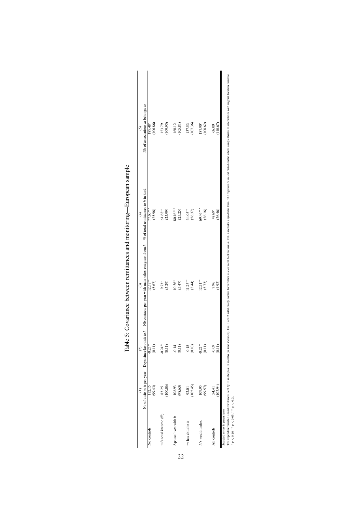<span id="page-22-0"></span>

|                                          |          | $\odot$        | $\widehat{c}$                                                                                                                                         | $\widehat{\mathrm{d}}$ | $\widehat{\mathcal{O}}$                                                                                                                                                                                                        |
|------------------------------------------|----------|----------------|-------------------------------------------------------------------------------------------------------------------------------------------------------|------------------------|--------------------------------------------------------------------------------------------------------------------------------------------------------------------------------------------------------------------------------|
|                                          |          |                | No of visits to h per year Days since last visit to h Nb contacts per year with main other emigrant from $h \propto 6$ fotal remittances to h in kind |                        | Nb of associations m belongs to                                                                                                                                                                                                |
| No controls                              | 112.15   | $-0.25**$      | $12.57***$                                                                                                                                            | 77.60***               | 189.48*                                                                                                                                                                                                                        |
|                                          | (99.43)  | (0.11)         | (5.67)                                                                                                                                                | (25.96)                | (106.86)                                                                                                                                                                                                                       |
| $m$ 's total income $(\in)$              | 83.25    | $0.24***$      |                                                                                                                                                       | $61.68***$             | 123.79                                                                                                                                                                                                                         |
|                                          | (100.06) | (0.11)         | 9.73*<br>(5.29)                                                                                                                                       | (25.99)                | (109.95)                                                                                                                                                                                                                       |
| Spouse lives with h                      | 108.93   | $-0.14$        | $10.56*$                                                                                                                                              | 80.16***               | 160.12                                                                                                                                                                                                                         |
|                                          | (98.63)  | (0.11)         | (5.47)                                                                                                                                                | (25.25)                | (105.81)                                                                                                                                                                                                                       |
| $m$ has child in $h$                     | 92.01    | $-0.15$        | $1.75***$                                                                                                                                             | 64.05**                | 137.53                                                                                                                                                                                                                         |
|                                          | (102.45) | (0.10)         | (5.44)                                                                                                                                                | (26.37)                | (107.36)                                                                                                                                                                                                                       |
| h's wealth index                         | 109.95   | $-0.22**$      | $12.71***$                                                                                                                                            | 69.46***               | 187.90*                                                                                                                                                                                                                        |
|                                          | (99.57)  | (0.11)         | (5.73)                                                                                                                                                | (26.16)                | (108.62)                                                                                                                                                                                                                       |
| All controls                             | 54.41    | $-0.09$        | 7.96                                                                                                                                                  | 48.69*                 | 66.00                                                                                                                                                                                                                          |
|                                          | (102.94) | $\frac{11}{2}$ | (4.92)                                                                                                                                                | (26.46)                | 110.67                                                                                                                                                                                                                         |
| Standard errors in parentheses           |          |                |                                                                                                                                                       |                        | The dependent variable is total remittances seart by mith the post 12 months (in kind lucked). Col. 1 and 2 additionally control for whether m even went back to sid. A. Gol. 4 includes a quadratic term. The regressions are |
| $p < 0.10$ , $m p < 0.05$ , $m p < 0.01$ |          |                |                                                                                                                                                       |                        |                                                                                                                                                                                                                                |
|                                          |          |                |                                                                                                                                                       |                        |                                                                                                                                                                                                                                |

| Table 5: Covariance between remittances and monitoring—European sample |
|------------------------------------------------------------------------|
|                                                                        |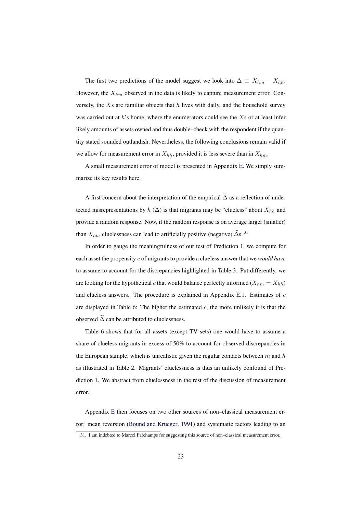The first two predictions of the model suggest we look into  $\Delta \equiv X_{hm} - X_{hh}$ . However, the  $X_{hm}$  observed in the data is likely to capture measurement error. Conversely, the  $X_s$  are familiar objects that  $h$  lives with daily, and the household survey was carried out at  $h$ 's home, where the enumerators could see the  $X$ s or at least infer likely amounts of assets owned and thus double–check with the respondent if the quantity stated sounded outlandish. Nevertheless, the following conclusions remain valid if we allow for measurement error in  $X_{hh}$ , provided it is less severe than in  $X_{hm}$ .

A small measurement error of model is presented in Appendix [E.](#page-44-0) We simply summarize its key results here.

A first concern about the interpretation of the empirical  $\tilde{\Delta}$  as a reflection of undetected misrepresentations by  $h(\Delta)$  is that migrants may be "clueless" about  $X_{hh}$  and provide a random response. Now, if the random response is on average larger (smaller) than  $X_{hh}$ , cluelessness can lead to artificially positive (negative)  $\tilde{\Delta}$ s. [31](#page-23-0)

In order to gauge the meaningfulness of our test of Prediction 1, we compute for each asset the propensity c of migrants to provide a clueless answer that we *would have* to assume to account for the discrepancies highlighted in Table [3.](#page-19-0) Put differently, we are looking for the hypothetical c that would balance perfectly informed  $(X_{hm} = X_{hh})$ and clueless answers. The procedure is explained in Appendix [E.1.](#page-45-0) Estimates of  $c$ are displayed in Table [6:](#page-24-0) The higher the estimated  $c$ , the more unlikely it is that the observed  $\tilde{\Delta}$  can be attributed to cluelessness.

Table [6](#page-24-0) shows that for all assets (except TV sets) one would have to assume a share of clueless migrants in excess of 50% to account for observed discrepancies in the European sample, which is unrealistic given the regular contacts between  $m$  and  $h$ as illustrated in Table [2.](#page-17-3) Migrants' cluelessness is thus an unlikely confound of Prediction 1. We abstract from cluelessness in the rest of the discussion of measurement error.

Appendix [E](#page-44-0) then focuses on two other sources of non–classical measurement error: mean reversion [\(Bound and Krueger,](#page-36-9) [1991\)](#page-36-9) and systematic factors leading to an

<span id="page-23-0"></span><sup>31.</sup> I am indebted to Marcel Fafchamps for suggesting this source of non–classical measurement error.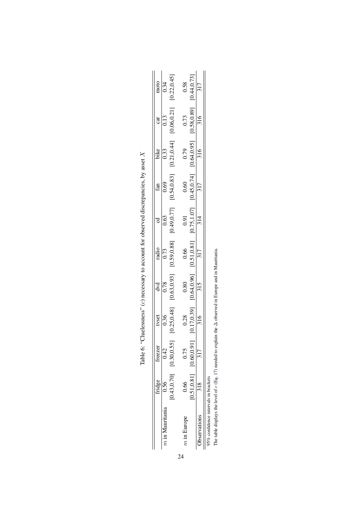<span id="page-24-0"></span>

|                                     | freezer                       |                             |                                           |                                            |                                                                                   |                                          |                                         |                            |                                    |
|-------------------------------------|-------------------------------|-----------------------------|-------------------------------------------|--------------------------------------------|-----------------------------------------------------------------------------------|------------------------------------------|-----------------------------------------|----------------------------|------------------------------------|
| $n$ in Mauritania                   | .42                           | $\frac{\text{tvest}}{0.36}$ |                                           |                                            |                                                                                   |                                          |                                         | $rac{\text{car}}{0.13}$    | $\frac{1000}{0.34}$<br>[0.22,0.45] |
|                                     | $[0.43, 0.70]$ $[0.30, 0.55]$ | 0.25, 0.48                  | $\frac{d \text{vd}}{0.78}$<br>[0.63,0.93] | $\frac{\text{radio}}{0.73}$<br>[0.59,0.88] | $rac{c d}{0.63}$<br>[0.49,0.77]                                                   | $\frac{\text{fan}}{0.69}$<br>[0.54,0.83] | bike<br>$\frac{0.33}{0.33}$ [0.21,0.44] | [0.06, 0.21]               |                                    |
| $m$ in Europe                       |                               | 0.28                        | 0.80                                      | 0.66                                       |                                                                                   | 0.60                                     |                                         | 0.73                       | 0.58                               |
|                                     | $[0.51, 0.81]$ $[0.60, 0.91]$ | $\frac{[0.17, 0.39]}{316}$  | $\frac{[0.64, 0.96]}{315}$                | $\frac{[0.51, 0.81]}{317}$                 | $\begin{array}{c cc} 0.91 & \\ \hline [0.75, 1.07] & \\ \hline 314 & \end{array}$ | $\frac{[0.45, 0.74]}{317}$               | $\frac{0.79}{[0.64, 0.95]}$             | $\frac{[0.58, 0.89]}{316}$ | $\frac{[0.44, 0.73]}{317}$         |
| <b>Jbservations</b>                 |                               |                             |                                           |                                            |                                                                                   |                                          |                                         |                            |                                    |
| 5% confidence intervals in brackets |                               |                             |                                           |                                            |                                                                                   |                                          |                                         |                            |                                    |

| contract the model of                                                                     |
|-------------------------------------------------------------------------------------------|
|                                                                                           |
|                                                                                           |
|                                                                                           |
|                                                                                           |
|                                                                                           |
|                                                                                           |
|                                                                                           |
|                                                                                           |
| Table 6: "Cluelessness" (c) necessary to account for observed discrepancies, by asset $x$ |
|                                                                                           |
|                                                                                           |
|                                                                                           |

95% conneence intervais in brackets<br>The table displays the level of c (Eq. 17) needed to explain the  $\Delta$  observed in Europe and in Mauritania. The table displays the level of c (Eq. [17\)](#page-44-1) needed to explain the ∆ observed in Europe and in Mauritania.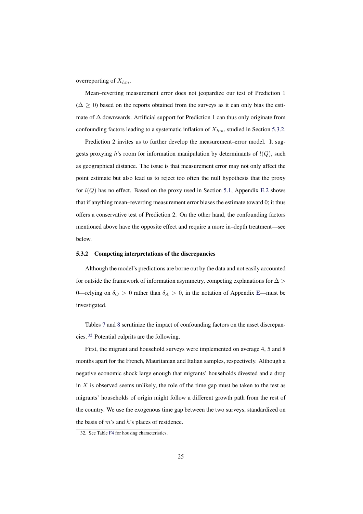overreporting of  $X_{hm}$ .

Mean–reverting measurement error does not jeopardize our test of Prediction 1  $(\Delta > 0)$  based on the reports obtained from the surveys as it can only bias the estimate of ∆ downwards. Artificial support for Prediction 1 can thus only originate from confounding factors leading to a systematic inflation of  $X_{hm}$ , studied in Section [5.3.2.](#page-25-0)

Prediction 2 invites us to further develop the measurement–error model. It suggests proxying h's room for information manipulation by determinants of  $l(Q)$ , such as geographical distance. The issue is that measurement error may not only affect the point estimate but also lead us to reject too often the null hypothesis that the proxy for  $l(Q)$  has no effect. Based on the proxy used in Section [5.1,](#page-17-0) Appendix [E.2](#page-45-1) shows that if anything mean–reverting measurement error biases the estimate toward 0; it thus offers a conservative test of Prediction 2. On the other hand, the confounding factors mentioned above have the opposite effect and require a more in–depth treatment—see below.

#### <span id="page-25-0"></span>5.3.2 Competing interpretations of the discrepancies

Although the model's predictions are borne out by the data and not easily accounted for outside the framework of information asymmetry, competing explanations for  $\Delta >$ 0—relying on  $\delta_O > 0$  rather than  $\delta_A > 0$ , in the notation of Appendix [E—](#page-44-0)must be investigated.

Tables [7](#page-28-0) and [8](#page-29-0) scrutinize the impact of confounding factors on the asset discrepancies. [32](#page-25-1) Potential culprits are the following.

First, the migrant and household surveys were implemented on average 4, 5 and 8 months apart for the French, Mauritanian and Italian samples, respectively. Although a negative economic shock large enough that migrants' households divested and a drop in  $X$  is observed seems unlikely, the role of the time gap must be taken to the test as migrants' households of origin might follow a different growth path from the rest of the country. We use the exogenous time gap between the two surveys, standardized on the basis of  $m$ 's and  $h$ 's places of residence.

<span id="page-25-1"></span><sup>32.</sup> See Table [F4](#page-50-1) for housing characteristics.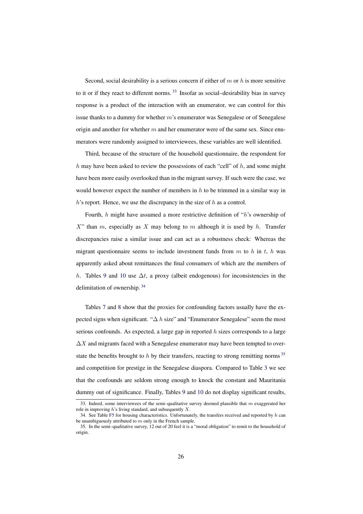Second, social desirability is a serious concern if either of  $m$  or  $h$  is more sensitive to it or if they react to different norms.  $33$  Insofar as social-desirability bias in survey response is a product of the interaction with an enumerator, we can control for this issue thanks to a dummy for whether  $m$ 's enumerator was Senegalese or of Senegalese origin and another for whether  $m$  and her enumerator were of the same sex. Since enumerators were randomly assigned to interviewees, these variables are well identified.

Third, because of the structure of the household questionnaire, the respondent for  $h$  may have been asked to review the possessions of each "cell" of  $h$ , and some might have been more easily overlooked than in the migrant survey. If such were the case, we would however expect the number of members in  $h$  to be trimmed in a similar way in  $h$ 's report. Hence, we use the discrepancy in the size of  $h$  as a control.

Fourth, h might have assumed a more restrictive definition of "h's ownership of  $X$ " than m, especially as X may belong to m although it is used by h. Transfer discrepancies raise a similar issue and can act as a robustness check: Whereas the migrant questionnaire seems to include investment funds from m to h in t, h was apparently asked about remittances the final consumers of which are the members of h. Tables [9](#page-30-0) and [10](#page-31-0) use  $\Delta t$ , a proxy (albeit endogenous) for inconsistencies in the delimitation of ownership. [34](#page-26-1)

Tables [7](#page-28-0) and [8](#page-29-0) show that the proxies for confounding factors usually have the expected signs when significant. " $\Delta h$  size" and "Enumerator Senegalese" seem the most serious confounds. As expected, a large gap in reported  $h$  sizes corresponds to a large  $\Delta X$  and migrants faced with a Senegalese enumerator may have been tempted to overstate the benefits brought to  $h$  by their transfers, reacting to strong remitting norms  $35$ and competition for prestige in the Senegalese diaspora. Compared to Table [3](#page-19-0) we see that the confounds are seldom strong enough to knock the constant and Mauritania dummy out of significance. Finally, Tables [9](#page-30-0) and [10](#page-31-0) do not display significant results,

<span id="page-26-0"></span><sup>33.</sup> Indeed, some interviewees of the semi-qualitative survey deemed plausible that  $m$  exaggerated her role in improving  $h$ 's living standard, and subsequently  $X$ .

<span id="page-26-1"></span><sup>34.</sup> See Table [F5](#page-51-0) for housing characteristics. Unfortunately, the transfers received and reported by  $h$  can be unambiguously attributed to  $m$  only in the French sample.

<span id="page-26-2"></span><sup>35.</sup> In the semi–qualitative survey, 12 out of 20 feel it is a "moral obligation" to remit to the household of origin.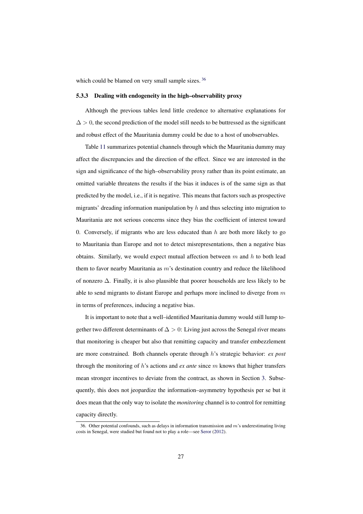which could be blamed on very small sample sizes.<sup>[36](#page-27-0)</sup>

#### 5.3.3 Dealing with endogeneity in the high–observability proxy

Although the previous tables lend little credence to alternative explanations for  $\Delta > 0$ , the second prediction of the model still needs to be buttressed as the significant and robust effect of the Mauritania dummy could be due to a host of unobservables.

Table [11](#page-32-0) summarizes potential channels through which the Mauritania dummy may affect the discrepancies and the direction of the effect. Since we are interested in the sign and significance of the high–observability proxy rather than its point estimate, an omitted variable threatens the results if the bias it induces is of the same sign as that predicted by the model, i.e., if it is negative. This means that factors such as prospective migrants' dreading information manipulation by  $h$  and thus selecting into migration to Mauritania are not serious concerns since they bias the coefficient of interest toward 0. Conversely, if migrants who are less educated than  $h$  are both more likely to go to Mauritania than Europe and not to detect misrepresentations, then a negative bias obtains. Similarly, we would expect mutual affection between  $m$  and  $h$  to both lead them to favor nearby Mauritania as  $m$ 's destination country and reduce the likelihood of nonzero ∆. Finally, it is also plausible that poorer households are less likely to be able to send migrants to distant Europe and perhaps more inclined to diverge from  $m$ in terms of preferences, inducing a negative bias.

It is important to note that a well–identified Mauritania dummy would still lump together two different determinants of  $\Delta > 0$ : Living just across the Senegal river means that monitoring is cheaper but also that remitting capacity and transfer embezzlement are more constrained. Both channels operate through h's strategic behavior: *ex post* through the monitoring of h's actions and *ex ante* since m knows that higher transfers mean stronger incentives to deviate from the contract, as shown in Section [3.](#page-9-0) Subsequently, this does not jeopardize the information–asymmetry hypothesis per se but it does mean that the only way to isolate the *monitoring* channel is to control for remitting capacity directly.

<span id="page-27-0"></span><sup>36.</sup> Other potential confounds, such as delays in information transmission and  $m$ 's underestimating living costs in Senegal, were studied but found not to play a role—see [Seror](#page-38-9) [\(2012\)](#page-38-9).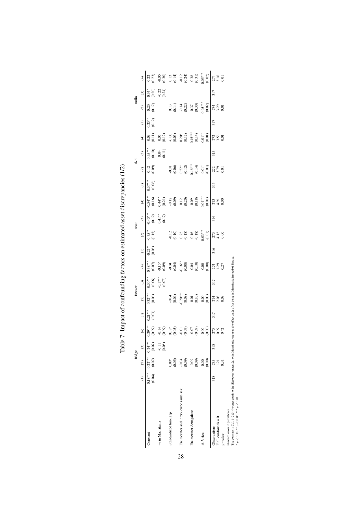<span id="page-28-0"></span>

|                                       |                     |                     | fridge                  |                         |                     | freezer                                                                                                 |                                  |                                                                                                                                                                                                                                                                                                                           |                      |                                                                                                                 | tvset                           |                                                                                                                             |                     | d vd                                                                                                                                                                                                                                                                                                                         |                                         |                                                                                                                                                                                                                                                                                                               |                    | radio                                                                                                         |                            |                                                                                                                                                                                                                                                                                                               |
|---------------------------------------|---------------------|---------------------|-------------------------|-------------------------|---------------------|---------------------------------------------------------------------------------------------------------|----------------------------------|---------------------------------------------------------------------------------------------------------------------------------------------------------------------------------------------------------------------------------------------------------------------------------------------------------------------------|----------------------|-----------------------------------------------------------------------------------------------------------------|---------------------------------|-----------------------------------------------------------------------------------------------------------------------------|---------------------|------------------------------------------------------------------------------------------------------------------------------------------------------------------------------------------------------------------------------------------------------------------------------------------------------------------------------|-----------------------------------------|---------------------------------------------------------------------------------------------------------------------------------------------------------------------------------------------------------------------------------------------------------------------------------------------------------------|--------------------|---------------------------------------------------------------------------------------------------------------|----------------------------|---------------------------------------------------------------------------------------------------------------------------------------------------------------------------------------------------------------------------------------------------------------------------------------------------------------|
|                                       |                     | (2)                 | $\widehat{\mathcal{C}}$ | $\widehat{\mathcal{F}}$ | $\in$               | $\odot$                                                                                                 | $\odot$                          | $\widehat{\mathcal{F}}$                                                                                                                                                                                                                                                                                                   | $\widehat{z}$        | $\odot$                                                                                                         | $\widehat{c}$                   | $\widehat{\mathfrak{t}}$                                                                                                    | $\in$               | $\widehat{\alpha}$                                                                                                                                                                                                                                                                                                           | $\widehat{c}$                           | $\widehat{\mathfrak{t}}$                                                                                                                                                                                                                                                                                      | $\in$              | $\widehat{\infty}$                                                                                            | ම                          | E                                                                                                                                                                                                                                                                                                             |
| Constant                              | $0.18***$<br>(0.04) | $0.22***$<br>(0.07) | $0.24***$<br>(0.07)     | $0.29**$                | $0.21***$<br>(0.03) | $0.32***$                                                                                               |                                  |                                                                                                                                                                                                                                                                                                                           | $0.22^{*}$<br>(0.08) | $0.35$ *<br>(0.15)                                                                                              |                                 |                                                                                                                             | $0.37***$<br>(0.06) | $\begin{array}{c} 0.12 \\ 0.09 \end{array}$                                                                                                                                                                                                                                                                                  |                                         |                                                                                                                                                                                                                                                                                                               | $0.23**$<br>(0.12) | 0.17                                                                                                          |                            |                                                                                                                                                                                                                                                                                                               |
| $m$ in Mauritania                     |                     |                     | $\frac{1}{2}$<br>(0.08) | $-0.14$<br>(0.09)       |                     |                                                                                                         | 30***<br>0.06<br>0.17**<br>0.07) | $\begin{array}{l} \n 0.38^{***} \\ \n 0.05 \\ \n 0.5 \\ \n 0.6 \\ \n 0.9 \\ \n 0.04 \\ \n 0.03 \\ \n 0.04 \\ \n 0.00 \\ \n 0.00 \\ \n 0.00 \\ \n 0.00 \\ \n 0.00 \\ \n 0.00 \\ \n 0.00 \\ \n 0.00 \\ \n 0.00 \\ \n 0.00 \\ \n 0.00 \\ \n 0.00 \\ \n 0.00 \\ \n 0.00 \\ \n 0.00 \\ \n 0.00 \\ \n 0.00 \\ \n 0.00 \\ \n 0.$ |                      |                                                                                                                 | $0.43***\n0.12)\n0.41**\n0.17)$ | $0.54$ **<br>$0.16$<br>$0.16$<br>$0.44$ *<br>$0.21$<br>$0.03$<br>$0.02$<br>$0.03$<br>$0.04$ ***<br>$0.04$ ***<br>$0.04$ *** |                     |                                                                                                                                                                                                                                                                                                                              | $2.35***$<br>$0.10$<br>$0.01$<br>$0.11$ | $\begin{array}{l} 0.09 \\ 0.11 \\ 0.02 \\ 0.00 \\ 0.00 \\ 0.01 \\ 0.01 \\ 0.01 \\ 0.01 \\ 0.01 \\ 0.01 \\ 0.01 \\ 0.00 \\ 0.00 \\ 0.00 \\ 0.00 \\ 0.00 \\ 0.00 \\ 0.00 \\ 0.00 \\ 0.00 \\ 0.00 \\ 0.00 \\ 0.00 \\ 0.00 \\ 0.00 \\ 0.00 \\ 0.00 \\ 0.00 \\ 0.00 \\ 0.00 \\ 0.00 \\ 0.00 \\ 0.00 \\ 0.00 \\ 0.$ |                    |                                                                                                               | 34<br>0.30<br>0.21<br>0.21 | $\begin{array}{l} 0.22 \\ 0.23 \\ 0.39 \\ 0.39 \\ 0.11 \\ 0.14 \\ 0.24 \\ 0.33 \\ 0.63 \\ 0.02 \\ 0.02 \\ 0.00 \\ 0.02 \\ 0.00 \\ 0.00 \\ 0.00 \\ 0.00 \\ 0.00 \\ 0.00 \\ 0.00 \\ 0.00 \\ 0.00 \\ 0.00 \\ 0.00 \\ 0.00 \\ 0.00 \\ 0.00 \\ 0.00 \\ 0.00 \\ 0.00 \\ 0.00 \\ 0.00 \\ 0.00 \\ 0.00 \\ 0.00 \\ 0.$ |
| Standardized time gap                 |                     | (0.05)<br>$0.09*$   |                         |                         |                     |                                                                                                         |                                  |                                                                                                                                                                                                                                                                                                                           |                      |                                                                                                                 |                                 |                                                                                                                             |                     |                                                                                                                                                                                                                                                                                                                              |                                         |                                                                                                                                                                                                                                                                                                               |                    |                                                                                                               |                            |                                                                                                                                                                                                                                                                                                               |
| Enumerator and interviewee same sex   |                     | $-0.04$<br>$(0.09)$ |                         |                         |                     |                                                                                                         |                                  |                                                                                                                                                                                                                                                                                                                           |                      | $\begin{array}{c} 1.1 \\ 0.10 \\ 0.22 \\ 0.18 \\ 0.16 \\ 0.19 \\ 0.03 \\ \vdots \\ 0.01 \\ 0.01 \\ \end{array}$ |                                 |                                                                                                                             |                     |                                                                                                                                                                                                                                                                                                                              |                                         |                                                                                                                                                                                                                                                                                                               |                    |                                                                                                               |                            |                                                                                                                                                                                                                                                                                                               |
| Enumerator Senegalese                 |                     | (0.09)<br>$-0.09$   |                         |                         |                     |                                                                                                         |                                  |                                                                                                                                                                                                                                                                                                                           |                      |                                                                                                                 |                                 |                                                                                                                             |                     |                                                                                                                                                                                                                                                                                                                              |                                         |                                                                                                                                                                                                                                                                                                               |                    |                                                                                                               |                            |                                                                                                                                                                                                                                                                                                               |
| $\Delta h$ size                       |                     | (0.00)<br>0.00      |                         | 0.00000                 |                     | $\begin{array}{c} 0.04 \\ 0.04) \\ 0.20 \\ 0.08 \\ 0.01 \\ 0.01 \\ 0.00 \\ 0.00 \\ 0.00 \\ \end{array}$ |                                  |                                                                                                                                                                                                                                                                                                                           |                      |                                                                                                                 |                                 |                                                                                                                             |                     | $\begin{array}{l} -0.01 \\[-4pt] 0.06 \\[-4pt] 0.21 \\[-4pt] 0.12 \\[-4pt] 0.14 \\[-4pt] 0.14 \\[-4pt] 0.01 \\[-4pt] 0.01 \\[-4pt] 0.01 \\[-4pt] 0.01 \\[-4pt] 0.01 \\[-4pt] 0.01 \\[-4pt] 0.01 \\[-4pt] 0.01 \\[-4pt] 0.01 \\[-4pt] 0.01 \\[-4pt] 0.01 \\[-4pt] 0.01 \\[-4pt] 0.01 \\[-4pt] 0.01 \\[-4pt] 0.01 \\[-4pt] 0.$ |                                         |                                                                                                                                                                                                                                                                                                               |                    | $\begin{array}{c} 0.13 \\ 0.14 \\ -0.14 \\ 0.22 \\ 0.37 \\ 0.5 \\ 0.6 \\ 0.03 \\ 0.02 \\ 0.03 \\ \end{array}$ |                            |                                                                                                                                                                                                                                                                                                               |
| $F$ all confounds = 0<br>Observations | 318                 | 275<br>1.21         | 318                     | 275<br>0.92<br>0.42     | 317                 | $\begin{array}{c} 74 \\ 2.03 \\ 0.0 \end{array}$                                                        | 317                              | 274<br>1.29<br>0.27                                                                                                                                                                                                                                                                                                       | $\frac{316}{2}$      | $273$<br>$4.12$<br>$0.00$                                                                                       | 316                             | 273<br>4.91<br>0.00                                                                                                         | 315                 | 272<br>3.79<br>0.01                                                                                                                                                                                                                                                                                                          | 315                                     | 272<br>3.56<br>0.01                                                                                                                                                                                                                                                                                           | 317                | 274<br>3.29<br>0.01                                                                                           | 317                        | $274$<br>$3.16$<br>$0.01$                                                                                                                                                                                                                                                                                     |
| p-value                               |                     | 0.31                |                         |                         |                     |                                                                                                         |                                  |                                                                                                                                                                                                                                                                                                                           |                      |                                                                                                                 |                                 |                                                                                                                             |                     |                                                                                                                                                                                                                                                                                                                              |                                         |                                                                                                                                                                                                                                                                                                               |                    |                                                                                                               |                            |                                                                                                                                                                                                                                                                                                               |
| .<br>.<br>.                           |                     |                     |                         |                         |                     |                                                                                                         |                                  |                                                                                                                                                                                                                                                                                                                           |                      |                                                                                                                 |                                 |                                                                                                                             |                     |                                                                                                                                                                                                                                                                                                                              |                                         |                                                                                                                                                                                                                                                                                                               |                    |                                                                                                               |                            |                                                                                                                                                                                                                                                                                                               |

| 1<br>1                                                                                                                                                                                                                        |
|-------------------------------------------------------------------------------------------------------------------------------------------------------------------------------------------------------------------------------|
|                                                                                                                                                                                                                               |
|                                                                                                                                                                                                                               |
| i<br>i<br>֖֖֖֖֧ׅׅ֪֦֧֦֧֪֧֪֪ׅ֦֧֚֚֚֚֚֚֚֚֚֚֚֚֚֚֚֚֚֚֚֚֚֡֝֓֓֡֓֓֞֬֝֓֞֓֞֝֬֓֞֝֬֝֓                                                                                                                                                      |
|                                                                                                                                                                                                                               |
| C Transportation of the form of the contraction of the contraction of the contraction of the contraction of the contraction of the contraction of the contraction of the contraction of the contraction of the contraction of |
|                                                                                                                                                                                                                               |
|                                                                                                                                                                                                                               |
| ١                                                                                                                                                                                                                             |
|                                                                                                                                                                                                                               |
|                                                                                                                                                                                                                               |
| -<br>-<br>-<br>í                                                                                                                                                                                                              |
|                                                                                                                                                                                                                               |
| l<br>$\frac{1}{2}$<br>F<br>F                                                                                                                                                                                                  |

Standard errors in parentheses Standard errors in parentheses<br>
The constant in Co.1 –2 (3–4) corresponds to the (European) mean  $\Delta$ , *m* in Mauritania captures the effect on  $\Delta$  of *m* being in Mauritania instead of Europe.<br>
\*  $p < 0.10$ , \* \*  $p < 0.05$ 

The constant in Col. 1–2 (3–4) corresponds to the (European) mean ∆. m in Mauritania captures the effect on ∆ of m being in Mauritania instead of Europe.<br>\* n < 0 10 \* \* n < 0 06 \* \*\* n < 0 01 p < 0.10, ∗∗ p < 0.05, ∗∗∗ p < 0.01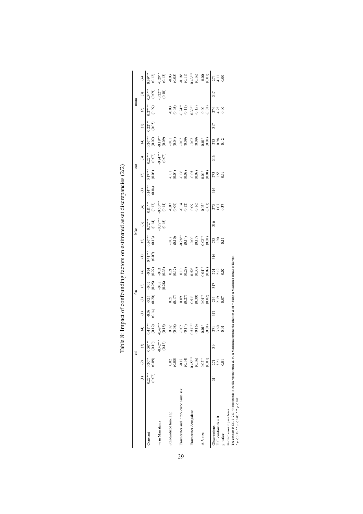<span id="page-29-0"></span>

|                                                                                                                                                                                                                                                                |                     |                                   | उ                    |                                                                                                                                 |               | fan                                                                                                     |                         |                                                                                                                       |                     |                                                                                                                                                                                                                                                                                                               | bike                                          |                                                                |                          | car                  |                                                                                         |                                                          |                     | moto                                                                                                                |                     |                                                                                                                                                                              |
|----------------------------------------------------------------------------------------------------------------------------------------------------------------------------------------------------------------------------------------------------------------|---------------------|-----------------------------------|----------------------|---------------------------------------------------------------------------------------------------------------------------------|---------------|---------------------------------------------------------------------------------------------------------|-------------------------|-----------------------------------------------------------------------------------------------------------------------|---------------------|---------------------------------------------------------------------------------------------------------------------------------------------------------------------------------------------------------------------------------------------------------------------------------------------------------------|-----------------------------------------------|----------------------------------------------------------------|--------------------------|----------------------|-----------------------------------------------------------------------------------------|----------------------------------------------------------|---------------------|---------------------------------------------------------------------------------------------------------------------|---------------------|------------------------------------------------------------------------------------------------------------------------------------------------------------------------------|
|                                                                                                                                                                                                                                                                |                     | $\circ$                           | $\odot$              | $\widehat{\mathcal{F}}$                                                                                                         | $\widehat{c}$ | $\widehat{\alpha}$                                                                                      | $\widehat{\mathcal{C}}$ | $\widehat{\mathcal{F}}$                                                                                               | $\ominus$           | $\odot$                                                                                                                                                                                                                                                                                                       | $\odot$                                       | $\widehat{\mathcal{F}}$                                        | $\widehat{c}$            | $\odot$              | $\odot$                                                                                 | $\bigoplus$                                              | $\ominus$           | $\odot$                                                                                                             | $\odot$             | E                                                                                                                                                                            |
| Constant                                                                                                                                                                                                                                                       | $0.27***$<br>(0.07) | $0.20**$<br>(0.09)                | $0.50***$<br>(0.10)  | $0.41***$<br>$(0.12)$                                                                                                           | 60.14         | $-0.25$<br>$(0.20)$                                                                                     | $-0.07$<br>$-0.25$      | (27)<br>$-0.24$                                                                                                       | $0.41***$<br>(0.07) | $0.56***$<br>$(0.13)$                                                                                                                                                                                                                                                                                         |                                               | $0.81***$<br>(0.17)                                            | $^{*}_{0.14}^{*}_{0.04}$ | $0.17***$<br>(0.06)  |                                                                                         | $0.26***$<br>(0.07)                                      | $0.22***$<br>(0.05) | $0.27***$                                                                                                           | $0.34***$<br>(0.09) | $0.39***$<br>(0.12)                                                                                                                                                          |
| $m$ in Mauritania                                                                                                                                                                                                                                              |                     |                                   | $-0.42***$<br>(0.13) |                                                                                                                                 |               |                                                                                                         | $-0.03$<br>$(0.28)$     |                                                                                                                       |                     |                                                                                                                                                                                                                                                                                                               | $0.72***$<br>$(0.14)$<br>$0.59***$<br>$0.15)$ |                                                                |                          |                      | $\begin{array}{c} 0.27^{***} \\ 0.07) \\ 0.24^{***} \\ 0.24^{***} \\ 0.07) \end{array}$ |                                                          |                     |                                                                                                                     | $0.22**$            |                                                                                                                                                                              |
| Standardized time gap                                                                                                                                                                                                                                          |                     | (0.08)<br>0.02                    |                      | $0.49$ <sup>***</sup> *6.15<br>$0.15$<br>$0.02$<br>$0.08$<br>$0.04$<br>$0.14$<br>$0.15$<br>$0.01$<br>$0.01$<br>$0.01$<br>$0.01$ |               |                                                                                                         |                         | $-0.33$<br>$-0.33$<br>$-0.17$<br>$-0.10$<br>$-0.29$<br>$-0.52$<br>$-0.50$<br>$-0.30$<br>$-0.30$<br>$-0.30$<br>$-0.30$ |                     |                                                                                                                                                                                                                                                                                                               |                                               |                                                                |                          |                      |                                                                                         | $0.19$<br>$0.09$<br>$0.04$<br>$0.02$<br>$0.09$<br>$0.09$ |                     |                                                                                                                     |                     |                                                                                                                                                                              |
| Enumerator and interviewee same sex                                                                                                                                                                                                                            |                     | $-0.12$<br>$(0.14)$               |                      |                                                                                                                                 |               |                                                                                                         |                         |                                                                                                                       |                     |                                                                                                                                                                                                                                                                                                               |                                               |                                                                |                          |                      |                                                                                         |                                                          |                     |                                                                                                                     |                     |                                                                                                                                                                              |
| Enumerator Senegalese                                                                                                                                                                                                                                          |                     | $0.45***$<br>(0.16)               |                      |                                                                                                                                 |               | $\begin{array}{l} 0.21 \\ 0.17) \\ 0.9 \\ 0.27) \\ 0.51^* \\ 0.30 \\ 0.9 \\ 0.02 \\ 0.0 \\ \end{array}$ |                         |                                                                                                                       |                     | $\begin{array}{l} 0.07 \\ 0.10) \\ 0.28 \\ 0.38 \\ 0.14) \\ 0.00 \\ 0.01 \\ 0.01 \\ 0.01 \\ 0.01 \\ 0.01 \\ 0.01 \\ 0.01 \\ 0.01 \\ 0.01 \\ 0.01 \\ 0.01 \\ 0.01 \\ 0.01 \\ 0.01 \\ 0.01 \\ 0.01 \\ 0.01 \\ 0.01 \\ 0.01 \\ 0.01 \\ 0.01 \\ 0.01 \\ 0.01 \\ 0.01 \\ 0.01 \\ 0.01 \\ 0.01 \\ 0.01 \\ 0.01 \\ $ |                                               | $-0.12$<br>$-0.12$<br>$-0.09$<br>$-0.02$<br>$-0.02$<br>$-0.01$ |                          | 5년<br>1980년<br>1980년 |                                                                                         | $-0.02$<br>$(0.09)$                                      |                     | $\begin{array}{c} 0.03 \\ 0.05 \\ 0.24 \\ 0.11 \\ 0.39^{***} \\ 0.9 \\ 0.05 \\ 0.00 \\ 0.00 \\ 0.01 \\ \end{array}$ |                     |                                                                                                                                                                              |
| $\Delta h$ size                                                                                                                                                                                                                                                |                     | $0.02***$<br>(0.01)               |                      |                                                                                                                                 |               |                                                                                                         |                         | (0.02)                                                                                                                |                     |                                                                                                                                                                                                                                                                                                               |                                               |                                                                |                          | $0.01*0.000$         |                                                                                         | $0.01$<br>$0.01$                                         |                     |                                                                                                                     |                     |                                                                                                                                                                              |
| $F$ all confounds = 0<br>Observations<br>p-value                                                                                                                                                                                                               | $\frac{314}{4}$     | 3.21<br>$\overline{0}$ .01<br>271 | 314                  | $\frac{27}{3.60}$                                                                                                               | 317           | 274<br>2. 19<br>0. 07                                                                                   | 317                     | 274<br>2.19<br>0.07                                                                                                   | 316                 | 273<br>1.90<br>1.11                                                                                                                                                                                                                                                                                           | 316                                           | 273<br>1.07<br>0.37                                            | 316                      | 273<br>1.55<br>1.019 | 316                                                                                     | 273<br>0.92                                              | 317                 | 274<br>4.22<br>0.00                                                                                                 | 317                 | $-0.29$<br>$+0.13$<br>$-0.03$<br>$-0.05$<br>$-0.11$<br>$-0.14$<br>$-0.05$<br>$-0.05$<br>$-0.05$<br>$-0.05$<br>$-0.05$<br>$-0.05$<br>$-0.05$<br>$-0.05$<br>$-0.05$<br>$-0.05$ |
| The constant in Col. 1-2 (3-4) corresponds to the (European) mean $\Delta$ . $m$ in Mauritania captures the effect on $\Delta$ of $m$ being in Mauritania instead of Europe<br>* $p < 0.10$ , ** $p < 0.05$ , *** $p < 0.01$<br>Standard errors in parentheses |                     |                                   |                      |                                                                                                                                 |               |                                                                                                         |                         |                                                                                                                       |                     |                                                                                                                                                                                                                                                                                                               |                                               |                                                                |                          |                      |                                                                                         |                                                          |                     |                                                                                                                     |                     |                                                                                                                                                                              |

| ı<br>İ                                                                             |
|------------------------------------------------------------------------------------|
|                                                                                    |
| i<br>ı                                                                             |
|                                                                                    |
|                                                                                    |
|                                                                                    |
|                                                                                    |
|                                                                                    |
|                                                                                    |
|                                                                                    |
|                                                                                    |
|                                                                                    |
| Table X: Impact of contounding tactors on estimated asset discream-<br>ı<br>i<br>l |
|                                                                                    |
| ט<br>גע<br>.<br>E                                                                  |

p < 0.10, ∗∗ p < 0.05, ∗∗∗ p < 0.01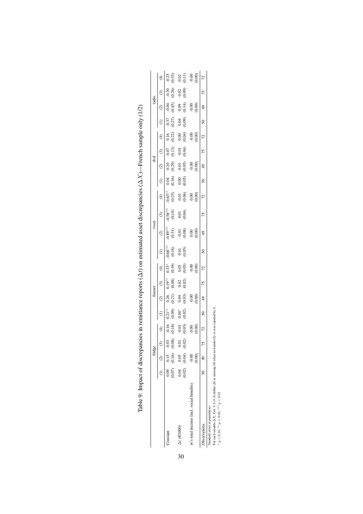|                                          | fridge                                                                                |    |                         |                    | freezer                  |                |                |                     | tyset               |                      |                    |                | टू                  |                   |                 |                | radio             |                |                   |
|------------------------------------------|---------------------------------------------------------------------------------------|----|-------------------------|--------------------|--------------------------|----------------|----------------|---------------------|---------------------|----------------------|--------------------|----------------|---------------------|-------------------|-----------------|----------------|-------------------|----------------|-------------------|
|                                          | (1) (2) (3)                                                                           |    | $\widehat{\mathcal{F}}$ |                    |                          |                |                |                     | g                   | ⊙                    | $\widehat{f}$      |                |                     |                   |                 |                |                   |                |                   |
| Constant                                 | $\begin{array}{ccccc} 0.09 & & 0.15 & & 0.03 \\ (0.07) & (0.16) & (0.08) \end{array}$ |    | (0.18)                  | $0.21**$<br>(60.0) | (120)                    | (0.08)         | (0.19)         | $0.68***$<br>(0.16) | $0.89***$<br>(0.31) | $-0.58***$<br>(0.14) | $0.63**$<br>(0.25) | (0.16)         | (0.29)              | (0.13)            | (0.22)          | (0.27)         | (0.45)            | 0.26           | (0.35)<br>0.25    |
| $\Delta t$ ( $\in$ 1000)                 | $\begin{array}{cc} 0.04 & 0.05 & 0.01 \\ (0.02) & (0.04) & (0.02) \end{array}$        |    | (0.03)<br>$-0.01$       | $0.04*$<br>(0.02)  | $0.03$<br>$(0.03)$       | (0.02)<br>0.02 | (0.03)<br>0.03 | (0.05)<br>0.01      | (0.08)<br>$-0.01$   | (0.04)<br>0.01       | (0.06)<br>0.01     | (0.05)<br>0.00 | $0.01$<br>$(0.05)$  | (0.04)<br>$-0.01$ | 0.00<br>(0.04)  | (60.0)<br>0.04 | 0.09<br>(0.14)    | (0.09)<br>0.02 | (0.11)<br>0.02    |
| m's total income (incl. social benefits) | (0.00)<br>$-0.00$                                                                     |    | 0.00<br>$\frac{8}{2}$   |                    | $\frac{00}{2}$<br>(0.00) |                | 0.00           |                     | 0.00<br>0.00        |                      | 0.00<br>0.00       |                | $\rm{0.00}$<br>0.00 |                   | $-0.00$<br>0.00 |                | (0.00)<br>$-0.00$ |                | (0.00)<br>$-0.00$ |
| Observations                             | 49                                                                                    | 75 |                         |                    |                          | 75             |                | ິລ                  | ą,                  | 75                   | 72                 | ৮              |                     | 75                |                 |                |                   | 75             |                   |

<span id="page-30-0"></span>

| d<br>I                                                                                           |  |
|--------------------------------------------------------------------------------------------------|--|
| i                                                                                                |  |
|                                                                                                  |  |
| $\vdots$<br>ļ                                                                                    |  |
|                                                                                                  |  |
| l<br>ׇ֚֘֝                                                                                        |  |
| ۱<br>I<br>ļ                                                                                      |  |
| ļ<br>ı                                                                                           |  |
| ı                                                                                                |  |
| ı<br>I<br>ξ                                                                                      |  |
|                                                                                                  |  |
| i<br>i<br>Ś                                                                                      |  |
| ı<br>ł                                                                                           |  |
|                                                                                                  |  |
|                                                                                                  |  |
|                                                                                                  |  |
| I<br>֧֧ׅ֧֧ׅ֧֧ׅ֧֧ׅ֧֧֛֧֦֧֧֧֛֧֛֛֛֪֛֛֛֛֛֛֛֛֛֚֚֚֚֚֚֚֚֚֚֚֚֚֚֚֚֝֜֡֜֓֜֡֓֜֓֓֜֓֓֜֓֓֓֜֜֜<br>֧֧֛֛֛֛֛֛֛֜֜֜֜֜֜ |  |
| i                                                                                                |  |
|                                                                                                  |  |
| i                                                                                                |  |
|                                                                                                  |  |
|                                                                                                  |  |
| ;<br>ו<br>ו<br>l<br>j<br>۱                                                                       |  |
|                                                                                                  |  |
|                                                                                                  |  |
|                                                                                                  |  |
|                                                                                                  |  |
|                                                                                                  |  |
|                                                                                                  |  |
| j                                                                                                |  |
|                                                                                                  |  |
| i                                                                                                |  |
|                                                                                                  |  |
| j                                                                                                |  |
| ֕<br>l                                                                                           |  |
| I                                                                                                |  |
| ı<br>$\frac{1}{2}$<br>í<br>É                                                                     |  |

Simaland errors in parentheses<br>
For each vanishe  $\Delta X$ , Col. 1–2 (3–4) define  $\Delta t$  as missing (0) when no transfer by  $m$  was reported by  $h$ .<br>
" $p < 0.10$ , " $p < 0.05$ , "" $p < 0.01$ For each variable ∆X, Col. 1–2 (3–4) define ∆t as missing (0) when no transfer by m was reported by h. ∗Standard errors in parentheses

p < 0.10, ∗∗ p < 0.05, ∗∗∗ p < 0.01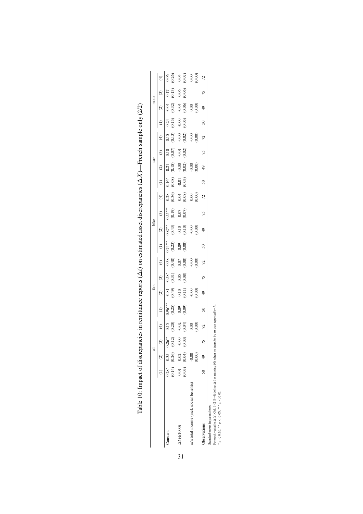|                                                  |                   |                    | ರ                   |                                             |                      | fan                                         |                                             |                    |                     | bike                |                     |                                             |                         | car                 |                   |                          |                     | moto                |                    |                                                     |
|--------------------------------------------------|-------------------|--------------------|---------------------|---------------------------------------------|----------------------|---------------------------------------------|---------------------------------------------|--------------------|---------------------|---------------------|---------------------|---------------------------------------------|-------------------------|---------------------|-------------------|--------------------------|---------------------|---------------------|--------------------|-----------------------------------------------------|
|                                                  |                   |                    | $\odot$             | $\widehat{\mathcal{F}}$                     |                      | $\widehat{c}$                               | $\odot$                                     | E                  |                     | $\widehat{c}$       | $\odot$             | $\widehat{\mathcal{F}}$                     | Э                       | $\widehat{c}$       | $\odot$           | $\widehat{\mathfrak{t}}$ |                     | $\widehat{\infty}$  | ⊙                  | $\widehat{\mathcal{F}}$                             |
| Constant                                         | (0.14)<br>$0.28*$ | (0.26)<br>0.35     | $126**$<br>(0.12)   | $\begin{array}{c} 0.15 \\ 0.20 \end{array}$ | $-0.96***$<br>(0.25) | (0.49)<br>$-0.81$                           | $-0.58$ *<br>$(0.31)$                       | $(6 + 0.38)$       | $0.74***$<br>(0.23) | $0.87***$<br>(0.43) | $0.55***$<br>(0.19) | $\begin{array}{c} 0.28 \\ 0.36 \end{array}$ | $\frac{0.16^*}{(0.08)}$ | $\frac{0.21}{0.18}$ | $(0.07)$<br>0.10  | (0.13)<br>0.15           | (0.15)<br>0.24      | (0.32)<br>$-0.04$   | (0.13)<br>0.17     | $0.06$<br>$(0.26)$                                  |
| $\Delta t$ ( $\in$ 1000)                         | 0.01<br>(0.03)    | $0.02$<br>$(0.04)$ | $-0.00$<br>$(0.03)$ | $-0.02$<br>$(0.04)$                         | 0.09)<br>(0.09)      | $\begin{array}{c} 0.10 \\ 0.11 \end{array}$ | $\begin{array}{c} 0.05 \\ 0.08 \end{array}$ | $0.07$<br>$(0.08)$ | $0.09$<br>$(0.08)$  | $0.10$<br>$(0.10)$  | $0.07$<br>$(0.07)$  | $0.04$<br>$(0.08)$                          | $-0.01$<br>$(0.03)$     | $-0.00$<br>(0.02)   | $-0.01$<br>(0.02) | $-0.00$<br>$(0.02)$      | $-0.00$<br>$(0.05)$ | $-0.04$<br>$(0.06)$ | $0.06$<br>$(0.06)$ |                                                     |
| <i>n</i> 's total income (incl. social benefits) |                   | (0.00)<br>$-0.00$  |                     | $\begin{matrix} 0.00 \\ 0.00 \end{matrix}$  |                      | 0.00000                                     |                                             | $-0.00$            |                     | $-0.00$<br>0.00     |                     | 0.00000                                     |                         | $-0.00$             |                   | $-0.00$<br>$(0.00)$      |                     | $0.00$<br>$0.00$    |                    | $\begin{array}{c} 36 \\ 36 \\ 36 \\ 38 \end{array}$ |
| <b>Oservations</b>                               |                   |                    | 75                  | 72                                          | $\overline{50}$      | $\frac{49}{5}$                              | 75                                          | 72                 | $\overline{50}$     | $\frac{49}{5}$      | 75                  | 72                                          | $\overline{50}$         | $\frac{4}{9}$       | 75                | 72                       | $\overline{50}$     | $\frac{4}{9}$       | 75                 | 72                                                  |

<span id="page-31-0"></span>

| I                                                                                                                    |
|----------------------------------------------------------------------------------------------------------------------|
| İ                                                                                                                    |
|                                                                                                                      |
| í                                                                                                                    |
|                                                                                                                      |
|                                                                                                                      |
|                                                                                                                      |
|                                                                                                                      |
| ֧֧ׅ֧֧֧֧ׅ֧֧֧ׅ֧֧֧֧֧֧ׅ֧֧֧֛֛֛֛֛֛֚֚֚֚֚֚֚֚֚֚֚֚֚֚֚֚֚֚֚֚֚֚֚֚֚֚֚֚֚֚֚֚֝֟֜֝֓֝֓֝֓֝֬֜֝֓֝֬֜֝֬֜֝֬֜֝֬֜֝֬֜֝<br>֧֛֧֛֧֛֧֧֛֛֚֚֚֚֚֚֜֜֜֜֝֜ |
|                                                                                                                      |
|                                                                                                                      |
|                                                                                                                      |
|                                                                                                                      |
|                                                                                                                      |
| ţ                                                                                                                    |
|                                                                                                                      |
| ł                                                                                                                    |
|                                                                                                                      |
|                                                                                                                      |
| $\overline{a}$<br>ï<br>l                                                                                             |
|                                                                                                                      |
|                                                                                                                      |
|                                                                                                                      |
| ı                                                                                                                    |
|                                                                                                                      |
| 1                                                                                                                    |
|                                                                                                                      |
|                                                                                                                      |
|                                                                                                                      |
|                                                                                                                      |
|                                                                                                                      |
|                                                                                                                      |
|                                                                                                                      |
|                                                                                                                      |
|                                                                                                                      |
|                                                                                                                      |
|                                                                                                                      |
|                                                                                                                      |
|                                                                                                                      |
|                                                                                                                      |
|                                                                                                                      |
|                                                                                                                      |
|                                                                                                                      |
|                                                                                                                      |
|                                                                                                                      |
|                                                                                                                      |
|                                                                                                                      |
|                                                                                                                      |
|                                                                                                                      |
|                                                                                                                      |
|                                                                                                                      |
|                                                                                                                      |
|                                                                                                                      |
|                                                                                                                      |
|                                                                                                                      |
|                                                                                                                      |
|                                                                                                                      |
|                                                                                                                      |
|                                                                                                                      |
|                                                                                                                      |
|                                                                                                                      |
|                                                                                                                      |
|                                                                                                                      |
|                                                                                                                      |
|                                                                                                                      |
|                                                                                                                      |
|                                                                                                                      |
|                                                                                                                      |
|                                                                                                                      |
|                                                                                                                      |
|                                                                                                                      |
|                                                                                                                      |
|                                                                                                                      |
|                                                                                                                      |
|                                                                                                                      |
|                                                                                                                      |
|                                                                                                                      |
|                                                                                                                      |
|                                                                                                                      |
|                                                                                                                      |
|                                                                                                                      |
|                                                                                                                      |
|                                                                                                                      |
|                                                                                                                      |
|                                                                                                                      |
|                                                                                                                      |
|                                                                                                                      |
|                                                                                                                      |
|                                                                                                                      |
|                                                                                                                      |
| í                                                                                                                    |
|                                                                                                                      |
|                                                                                                                      |
|                                                                                                                      |
|                                                                                                                      |
|                                                                                                                      |
|                                                                                                                      |
|                                                                                                                      |
|                                                                                                                      |
| $\overline{\phantom{a}}$                                                                                             |
|                                                                                                                      |
|                                                                                                                      |
|                                                                                                                      |
|                                                                                                                      |
| ۱                                                                                                                    |
|                                                                                                                      |
|                                                                                                                      |
| نہ<br>س<br>I                                                                                                         |

Standard errors in parentheses

Standard errors in parentheses<br>
For each vanishe  $\Delta X$ , Col. 1–2 (3–4) define  $\Delta t$  as missing (0) when no transfer by  $m$  was reported by  $h$ .<br>
" $p < 0.10$ , "" $p < 0.05$ , "" $p < 0.01$ For each variable ∆X, Col. 1–2 (3–4) define ∆t as missing (0) when no transfer by m was reported by h. ∗

p < 0.10, ∗∗ p < 0.05, ∗∗∗ p < 0.01

31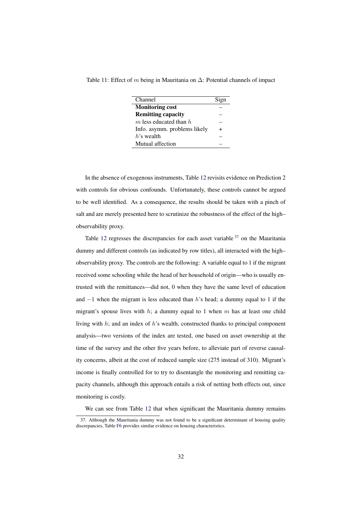<span id="page-32-0"></span>Table 11: Effect of m being in Mauritania on  $\Delta$ : Potential channels of impact

| Channel                      | Sign |
|------------------------------|------|
| <b>Monitoring cost</b>       |      |
| <b>Remitting capacity</b>    |      |
| $m$ less educated than $h$   |      |
| Info. asymm. problems likely |      |
| $h$ 's wealth                |      |
| Mutual affection             |      |

In the absence of exogenous instruments, Table [12](#page-34-0) revisits evidence on Prediction 2 with controls for obvious confounds. Unfortunately, these controls cannot be argued to be well identified. As a consequence, the results should be taken with a pinch of salt and are merely presented here to scrutinize the robustness of the effect of the high– observability proxy.

Table [12](#page-34-0) regresses the discrepancies for each asset variable  $37$  on the Mauritania dummy and different controls (as indicated by row titles), all interacted with the high– observability proxy. The controls are the following: A variable equal to 1 if the migrant received some schooling while the head of her household of origin—who is usually entrusted with the remittances—did not, 0 when they have the same level of education and  $-1$  when the migrant is less educated than h's head; a dummy equal to 1 if the migrant's spouse lives with h; a dummy equal to 1 when m has at least one child living with  $h$ ; and an index of  $h$ 's wealth, constructed thanks to principal component analysis—two versions of the index are tested, one based on asset ownership at the time of the survey and the other five years before, to alleviate part of reverse causality concerns, albeit at the cost of reduced sample size (275 instead of 310). Migrant's income is finally controlled for to try to disentangle the monitoring and remitting capacity channels, although this approach entails a risk of netting both effects out, since monitoring is costly.

<span id="page-32-1"></span>We can see from Table [12](#page-34-0) that when significant the Mauritania dummy remains

<sup>37.</sup> Although the Mauritania dummy was not found to be a significant determinant of housing quality discrepancies, Table [F6](#page-52-0) provides similar evidence on housing characteristics.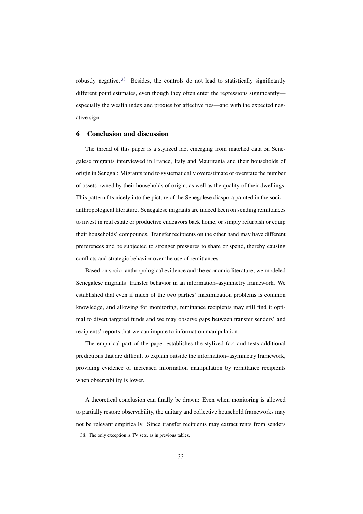robustly negative. [38](#page-33-1) Besides, the controls do not lead to statistically significantly different point estimates, even though they often enter the regressions significantly especially the wealth index and proxies for affective ties—and with the expected negative sign.

#### <span id="page-33-0"></span>6 Conclusion and discussion

The thread of this paper is a stylized fact emerging from matched data on Senegalese migrants interviewed in France, Italy and Mauritania and their households of origin in Senegal: Migrants tend to systematically overestimate or overstate the number of assets owned by their households of origin, as well as the quality of their dwellings. This pattern fits nicely into the picture of the Senegalese diaspora painted in the socio– anthropological literature. Senegalese migrants are indeed keen on sending remittances to invest in real estate or productive endeavors back home, or simply refurbish or equip their households' compounds. Transfer recipients on the other hand may have different preferences and be subjected to stronger pressures to share or spend, thereby causing conflicts and strategic behavior over the use of remittances.

Based on socio–anthropological evidence and the economic literature, we modeled Senegalese migrants' transfer behavior in an information–asymmetry framework. We established that even if much of the two parties' maximization problems is common knowledge, and allowing for monitoring, remittance recipients may still find it optimal to divert targeted funds and we may observe gaps between transfer senders' and recipients' reports that we can impute to information manipulation.

The empirical part of the paper establishes the stylized fact and tests additional predictions that are difficult to explain outside the information–asymmetry framework, providing evidence of increased information manipulation by remittance recipients when observability is lower.

A theoretical conclusion can finally be drawn: Even when monitoring is allowed to partially restore observability, the unitary and collective household frameworks may not be relevant empirically. Since transfer recipients may extract rents from senders

<span id="page-33-1"></span><sup>38.</sup> The only exception is TV sets, as in previous tables.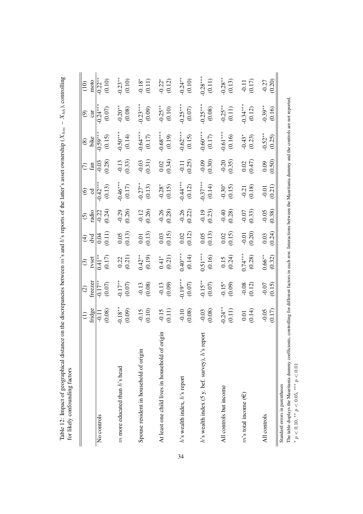<span id="page-34-0"></span>

| for likely confounding factors                                                                                                                         |                      |                           |                               |                                             |                     |                            |                      |                        |                        |                                |
|--------------------------------------------------------------------------------------------------------------------------------------------------------|----------------------|---------------------------|-------------------------------|---------------------------------------------|---------------------|----------------------------|----------------------|------------------------|------------------------|--------------------------------|
|                                                                                                                                                        | $(1)$<br>fridge      | reezer<br>$\widehat{c}$   | tyset<br>$\odot$              | dvd<br>$\bigoplus$                          | adio<br>$\odot$     | $\circledcirc$<br>उ        | fan<br>$\widehat{C}$ | $\circ$ ike            | car<br>ම               | moto<br>$\frac{1}{2}$          |
| No controls                                                                                                                                            | (6.08)               | $(0.07)$<br>$\frac{1}{2}$ | $(0.17)$<br>(0.17)            | (0.11)                                      | $\frac{1}{20.24}$   | $\frac{1}{0.42}$<br>(0.13) | (0.28)<br>$-0.03$    | $0.59***$<br>(0.15)    | $0.24***$<br>$(0.07)$  | $\frac{1}{2}$<br>(0.10)        |
| $m$ more educated than $h$ 's head                                                                                                                     | $-0.18***$<br>(0.09) | $^{+*}$<br>(0.07)         | $\frac{0.22}{0.21}$           | $\frac{0.05}{(0.13)}$                       | $-0.29$<br>$(0.26)$ | $-0.46***$<br>$(0.17)$     | $-0.13$<br>(0.33)    | $-0.50***$<br>(0.14)   | $-0.20***$<br>(0.08)   | $-0.23**$                      |
| Spouse resident in household of origin                                                                                                                 | $-0.15$<br>(0.10)    | $-0.13$<br>(0.08)         | $0.42***$<br>(0.19)           | $\frac{0.01}{(0.13)}$                       | $-0.12$<br>(0.26)   | $-0.27**$<br>(0.13)        | $-0.03$<br>(0.31)    | $-0.64***$<br>$(0.17)$ | $0.23***$<br>(0.09)    | $-0.18$ <sup>*</sup><br>(0.11) |
| origin<br>At least one child lives in household of                                                                                                     | $-0.15$<br>(0.11)    | $-0.13$<br>(0.09)         | $0.41$ <sup>*</sup><br>(0.21) | $\frac{0.03}{0.15}$                         | $-0.26$<br>(0.28)   | $-0.28$ *<br>(0.15)        | $0.02$<br>(0.34)     | $-0.68***$<br>(0.19)   | $-0.25***$<br>(0.10)   | $-0.22$ <sup>*</sup><br>(0.12) |
| h's wealth index, h's report                                                                                                                           | $-0.10$<br>(0.08)    | $-0.19***$                | $0.40***$<br>(0.14)           | $\begin{array}{c} 0.02 \\ 0.12 \end{array}$ | $-0.26$<br>(0.22)   | $-0.44***$<br>(0.12)       | $-0.11$<br>(0.25)    | $-0.62***$<br>(0.15)   | $-0.25***$<br>$(0.07)$ | $-0.24**$<br>(0.10)            |
| report:<br>$h$ 's wealth index (5 y. bef. survey), $h$ 's i                                                                                            | $-0.03$<br>(0.08)    | $-0.15**$<br>(0.07)       | $\frac{0.51***}{(0.16)}$      | $\frac{0.05}{(0.13)}$                       | $-0.19$<br>$(0.23)$ | $-0.37***$<br>(0.14)       | $-0.09$<br>(0.30)    | $-0.60***$<br>(0.17)   | $-0.25***$             | $-0.28***$<br>(0.11)           |
| All controls but income                                                                                                                                | $-0.24**$<br>(0.11)  | $-0.15*$<br>(0.09)        | $0.15$<br>$(0.24)$            | $\begin{array}{c} 0.02 \\ 0.15 \end{array}$ | $-0.40$<br>(0.28)   | $-0.30*$<br>(0.15)         | $-0.20$<br>(0.35)    | $-0.61***$<br>$(0.16)$ | $-0.25**$<br>(0.11)    | $-0.28***$<br>(0.13)           |
| $m$ 's total income $(\epsilon)$                                                                                                                       | $0.01$<br>(0.14)     | $-0.08$<br>(0.12)         | $0.74***$<br>(0.28)           | $-0.01$<br>(0.20)                           | (0.33)              | $-0.21$<br>(0.18)          | (0.47)<br>$0.02\,$   | $-0.43*$<br>(0.23)     | $-0.34***$<br>(0.12)   | $-0.11$<br>(0.17)              |
| All controls                                                                                                                                           | $(0.17)$<br>$-0.05$  | (0.15)<br>$-0.07$         | $0.66***$<br>(0.32)           | (0.24)<br>$0.03\,$                          | (0.38)<br>$-0.05$   | (0.21)<br>$-0.01$          | (0.50)<br>0.09       | $-0.52**$<br>(0.25)    | $-0.39***$<br>(0.16)   | $-0.27$<br>(0.20)              |
| - 55<br>Standard errors in parentheses<br>$\text{TH}_{\text{max}}$ and $\text{H}_{\text{max}}$ and $\text{H}_{\text{max}}$ and $\text{H}_{\text{max}}$ |                      |                           |                               |                                             |                     |                            |                      |                        |                        |                                |

Table 12: Impact of geographical distance on the discrepancies between  $m$ 's and h's reports of the latter's asset ownership ( $X_{hm} - X_{hh}$ ), controlling Table 12: Impact of geographical distance on the discrepancies between m's and h's reports of the latter's asset ownership ( $X_{hm} - X_{hh}$ ), controlling  $\epsilon_{m,11}$ ...

The table displays the Mauritania dummy coefficients, controlling for different factors in each row. Interactions between the Mauritania dummy and the controls are not reported. The table displays the Mauritania dummy coefficients, controlling for different factors in each row. Interactions between the Mauritania dummy and the controls are not reported.<br>\*  $p < 0.10$ , \*\*  $p < 0.05$ , \*\*\*  $p < 0.01$ 

 $p < 0.10$ , \*\*  $p < 0.05$ , \*\*\*  $p < 0.01$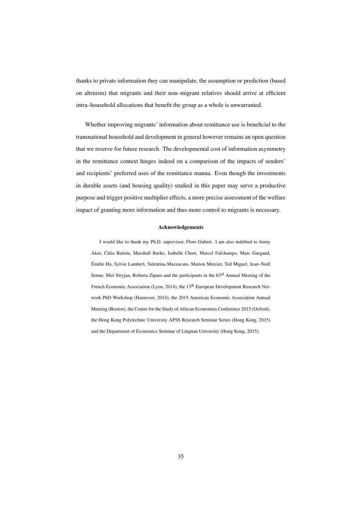thanks to private information they can manipulate, the assumption or prediction (based on altruism) that migrants and their non–migrant relatives should arrive at efficient intra–household allocations that benefit the group as a whole is unwarranted.

Whether improving migrants' information about remittance use is beneficial to the transnational household and development in general however remains an open question that we reserve for future research. The developmental cost of information asymmetry in the remittance context hinges indeed on a comparison of the impacts of senders' and recipients' preferred uses of the remittance manna. Even though the investments in durable assets (and housing quality) studied in this paper may serve a productive purpose and trigger positive multiplier effects, a more precise assessment of the welfare impact of granting more information and thus more control to migrants is necessary.

#### Acknowledgements

I would like to thank my Ph.D. supervisor, Flore Gubert. I am also indebted to Jenny Aker, Cátia Batista, Marshall Burke, Isabelle Chort, Marcel Fafchamps, Marc Gurgand, Émilie Hu, Sylvie Lambert, Valentina Mazzucato, Marion Mercier, Ted Miguel, Jean-Noël Senne, Miri Stryjan, Roberta Ziparo and the participants in the 63<sup>rd</sup> Annual Meeting of the French Economic Association (Lyon, 2014), the 13<sup>th</sup> European Development Research Network PhD Workshop (Hannover, 2014), the 2015 American Economic Association Annual Meeting (Boston), the Centre for the Study of African Economies Conference 2015 (Oxford), the Hong Kong Polytechnic University APSS Research Seminar Series (Hong Kong, 2015) and the Department of Economics Seminar of Lingnan University (Hong Kong, 2015).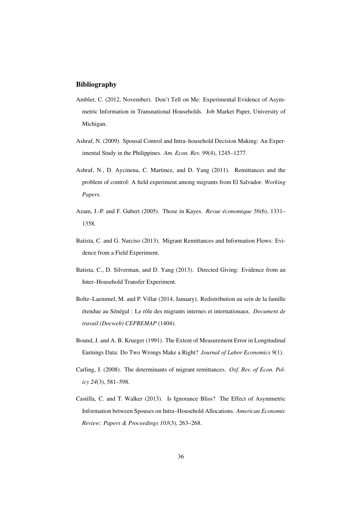#### <span id="page-36-5"></span>Bibliography

- Ambler, C. (2012, November). Don't Tell on Me: Experimental Evidence of Asymmetric Information in Transnational Households. Job Market Paper, University of Michigan.
- <span id="page-36-6"></span>Ashraf, N. (2009). Spousal Control and Intra–household Decision Making: An Experimental Study in the Philippines. *Am. Econ. Rev. 99*(4), 1245–1277.
- <span id="page-36-1"></span>Ashraf, N., D. Aycinena, C. Martinez, and D. Yang (2011). Remittances and the problem of control: A field experiment among migrants from El Salvador. *Working Papers*.
- <span id="page-36-4"></span>Azam, J.-P. and F. Gubert (2005). Those in Kayes. *Revue économique 56*(6), 1331– 1358.
- <span id="page-36-2"></span>Batista, C. and G. Narciso (2013). Migrant Remittances and Information Flows: Evidence from a Field Experiment.
- <span id="page-36-3"></span>Batista, C., D. Silverman, and D. Yang (2013). Directed Giving: Evidence from an Inter–Household Transfer Experiment.
- <span id="page-36-8"></span>Boltz–Laemmel, M. and P. Villar (2014, January). Redistribution au sein de la famille étendue au Sénégal : Le rôle des migrants internes et internationaux. *Document de travail (Docweb) CEPREMAP* (1404).
- <span id="page-36-9"></span>Bound, J. and A. B. Krueger (1991). The Extent of Measurement Error in Longitudinal Earnings Data: Do Two Wrongs Make a Right? *Journal of Labor Economics 9*(1).
- <span id="page-36-0"></span>Carling, J. (2008). The determinants of migrant remittances. *Oxf. Rev. of Econ. Policy 24*(3), 581–598.
- <span id="page-36-7"></span>Castilla, C. and T. Walker (2013). Is Ignorance Bliss? The Effect of Asymmetric Information between Spouses on Intra–Household Allocations. *American Economic Review: Papers & Proceedings 103*(3), 263–268.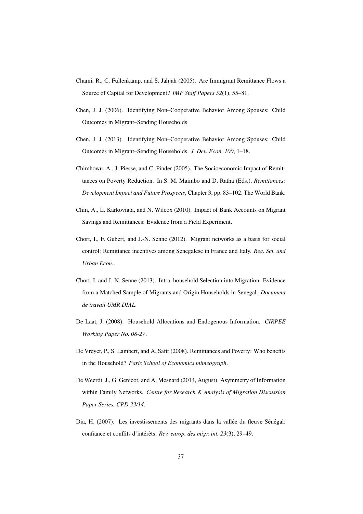- <span id="page-37-4"></span>Chami, R., C. Fullenkamp, and S. Jahjah (2005). Are Immigrant Remittance Flows a Source of Capital for Development? *IMF Staff Papers 52*(1), 55–81.
- <span id="page-37-5"></span>Chen, J. J. (2006). Identifying Non–Cooperative Behavior Among Spouses: Child Outcomes in Migrant–Sending Households.
- <span id="page-37-6"></span>Chen, J. J. (2013). Identifying Non–Cooperative Behavior Among Spouses: Child Outcomes in Migrant–Sending Households. *J. Dev. Econ. 100*, 1–18.
- <span id="page-37-0"></span>Chimhowu, A., J. Piesse, and C. Pinder (2005). The Socioeconomic Impact of Remittances on Poverty Reduction. In S. M. Maimbo and D. Ratha (Eds.), *Remittances: Development Impact and Future Prospects*, Chapter 3, pp. 83–102. The World Bank.
- <span id="page-37-2"></span>Chin, A., L. Karkoviata, and N. Wilcox (2010). Impact of Bank Accounts on Migrant Savings and Remittances: Evidence from a Field Experiment.
- <span id="page-37-8"></span>Chort, I., F. Gubert, and J.-N. Senne (2012). Migrant networks as a basis for social control: Remittance incentives among Senegalese in France and Italy. *Reg. Sci. and Urban Econ.*.
- <span id="page-37-9"></span>Chort, I. and J.-N. Senne (2013). Intra–household Selection into Migration: Evidence from a Matched Sample of Migrants and Origin Households in Senegal. *Document de travail UMR DIAL*.
- <span id="page-37-3"></span>De Laat, J. (2008). Household Allocations and Endogenous Information. *CIRPEE Working Paper No. 08-27*.
- <span id="page-37-1"></span>De Vreyer, P., S. Lambert, and A. Safir (2008). Remittances and Poverty: Who benefits in the Household? *Paris School of Economics mimeograph*.
- <span id="page-37-7"></span>De Weerdt, J., G. Genicot, and A. Mesnard (2014, August). Asymmetry of Information within Family Networks. *Centre for Research & Analysis of Migration Discussion Paper Series, CPD 33/14*.
- <span id="page-37-10"></span>Dia, H. (2007). Les investissements des migrants dans la vallée du fleuve Sénégal: confiance et conflits d'intérêts. Rev. europ. des migr. int. 23(3), 29-49.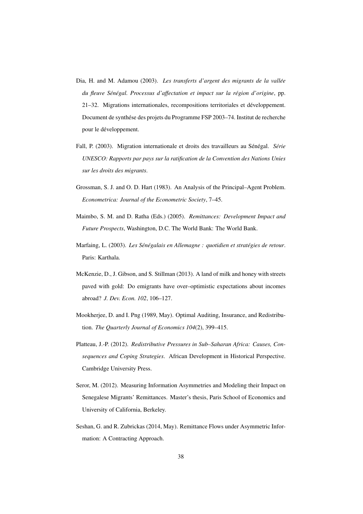- <span id="page-38-5"></span>Dia, H. and M. Adamou (2003). *Les transferts d'argent des migrants de la vallee´ du fleuve Sen´ egal. Processus d'affectation et impact sur la r ´ egion d'origine ´* , pp. 21–32. Migrations internationales, recompositions territoriales et developpement. ´ Document de synthése des projets du Programme FSP 2003-74. Institut de recherche pour le développement.
- <span id="page-38-4"></span>Fall, P. (2003). Migration internationale et droits des travailleurs au Sénégal. Série *UNESCO: Rapports par pays sur la ratification de la Convention des Nations Unies sur les droits des migrants*.
- <span id="page-38-8"></span>Grossman, S. J. and O. D. Hart (1983). An Analysis of the Principal–Agent Problem. *Econometrica: Journal of the Econometric Society*, 7–45.
- <span id="page-38-0"></span>Maimbo, S. M. and D. Ratha (Eds.) (2005). *Remittances: Development Impact and Future Prospects*, Washington, D.C. The World Bank: The World Bank.
- <span id="page-38-6"></span>Marfaing, L. (2003). Les Sénégalais en Allemagne : quotidien et stratégies de retour. Paris: Karthala.
- <span id="page-38-2"></span>McKenzie, D., J. Gibson, and S. Stillman (2013). A land of milk and honey with streets paved with gold: Do emigrants have over–optimistic expectations about incomes abroad? *J. Dev. Econ. 102*, 106–127.
- <span id="page-38-7"></span>Mookherjee, D. and I. Png (1989, May). Optimal Auditing, Insurance, and Redistribution. *The Quarterly Journal of Economics 104*(2), 399–415.
- <span id="page-38-3"></span>Platteau, J.-P. (2012). *Redistributive Pressures in Sub–Saharan Africa: Causes, Consequences and Coping Strategies*. African Development in Historical Perspective. Cambridge University Press.
- <span id="page-38-9"></span>Seror, M. (2012). Measuring Information Asymmetries and Modeling their Impact on Senegalese Migrants' Remittances. Master's thesis, Paris School of Economics and University of California, Berkeley.
- <span id="page-38-1"></span>Seshan, G. and R. Zubrickas (2014, May). Remittance Flows under Asymmetric Information: A Contracting Approach.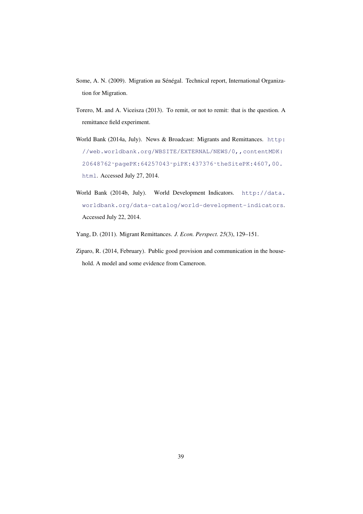- <span id="page-39-3"></span>Some, A. N. (2009). Migration au Sénégal. Technical report, International Organization for Migration.
- <span id="page-39-4"></span>Torero, M. and A. Viceisza (2013). To remit, or not to remit: that is the question. A remittance field experiment.
- <span id="page-39-1"></span>World Bank (2014a, July). News & Broadcast: Migrants and Remittances. [http:](http://web.worldbank.org/WBSITE/EXTERNAL/NEWS/0,,contentMDK:20648762~pagePK:64257043~piPK:437376~theSitePK:4607,00.html) [//web.worldbank.org/WBSITE/EXTERNAL/NEWS/0,,contentMDK:](http://web.worldbank.org/WBSITE/EXTERNAL/NEWS/0,,contentMDK:20648762~pagePK:64257043~piPK:437376~theSitePK:4607,00.html) [20648762˜pagePK:64257043˜piPK:437376˜theSitePK:4607,00.](http://web.worldbank.org/WBSITE/EXTERNAL/NEWS/0,,contentMDK:20648762~pagePK:64257043~piPK:437376~theSitePK:4607,00.html) [html](http://web.worldbank.org/WBSITE/EXTERNAL/NEWS/0,,contentMDK:20648762~pagePK:64257043~piPK:437376~theSitePK:4607,00.html). Accessed July 27, 2014.
- <span id="page-39-0"></span>World Bank (2014b, July). World Development Indicators. [http://data.](http://data.worldbank.org/data-catalog/world-development-indicators) [worldbank.org/data-catalog/world-development-indicators](http://data.worldbank.org/data-catalog/world-development-indicators). Accessed July 22, 2014.
- <span id="page-39-2"></span>Yang, D. (2011). Migrant Remittances. *J. Econ. Perspect. 25*(3), 129–151.
- <span id="page-39-5"></span>Ziparo, R. (2014, February). Public good provision and communication in the household. A model and some evidence from Cameroon.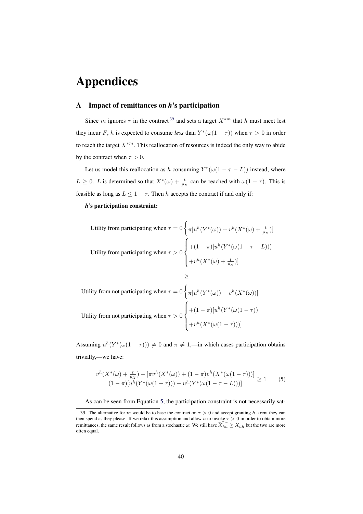## Appendices

#### <span id="page-40-0"></span>A Impact of remittances on *h*'s participation

Since m ignores  $\tau$  in the contract<sup>[39](#page-40-1)</sup> and sets a target  $X^{*m}$  that h must meet lest they incur F, h is expected to consume *less* than  $Y^*(\omega(1-\tau))$  when  $\tau > 0$  in order to reach the target  $X^{*m}$ . This reallocation of resources is indeed the only way to abide by the contract when  $\tau > 0$ .

Let us model this reallocation as h consuming  $Y^*(\omega(1 - \tau - L))$  instead, where  $L \geq 0$ . L is determined so that  $X^*(\omega) + \frac{t}{p_X}$  can be reached with  $\omega(1-\tau)$ . This is feasible as long as  $L \leq 1 - \tau$ . Then h accepts the contract if and only if:

#### *h*'s participation constraint:

Utility from participating when 
$$
\tau = 0 \left\{ \pi \left[ u^h(Y^*(\omega)) + v^h(X^*(\omega) + \frac{t}{p_X}) \right] \right\}
$$
  
Utility from participating when  $\tau > 0 \left\{ \begin{aligned} &+(1-\pi) \left[ u^h(Y^*(\omega(1-\tau-L))) \right. \\ &+ v^h(X^*(\omega) + \frac{t}{p_X}) \right] \end{aligned} \right.$ 

$$
\geq
$$
  
Utility from not participating when  $\tau = 0 \left\{ \pi \left[ u^h(Y^*(\omega)) + v^h(X^*(\omega)) \right] \right\}$   
Utility from not participating when  $\tau > 0 \left\{ \begin{aligned} &+(1-\pi) \left[ u^h(Y^*(\omega(1-\tau)) \right] \right. \\ &+ v^h(X^*(\omega(1-\tau)) ) \right] \end{aligned} \right.$ 

Assuming  $u^h(Y^*(\omega(1-\tau))) \neq 0$  and  $\pi \neq 1$ ,—in which cases participation obtains trivially,—we have:

<span id="page-40-2"></span>
$$
\frac{v^h(X^*(\omega) + \frac{t}{p_X}) - [\pi v^h(X^*(\omega)) + (1 - \pi)v^h(X^*(\omega(1 - \tau)))]}{(1 - \pi)[u^h(Y^*(\omega(1 - \tau))) - u^h(Y^*(\omega(1 - \tau - L)))]} \ge 1
$$
 (5)

<span id="page-40-1"></span>As can be seen from Equation [5,](#page-40-2) the participation constraint is not necessarily sat-

<sup>39.</sup> The alternative for m would be to base the contract on  $\tau > 0$  and accept granting h a rent they can then spend as they please. If we relax this assumption and allow h to invoke  $\tau > 0$  in order to obtain more remittances, the same result follows as from a stochastic  $\omega$ : We still have  $\widehat{X_{hh}} \ge X_{hh}$  but the two are more often equal.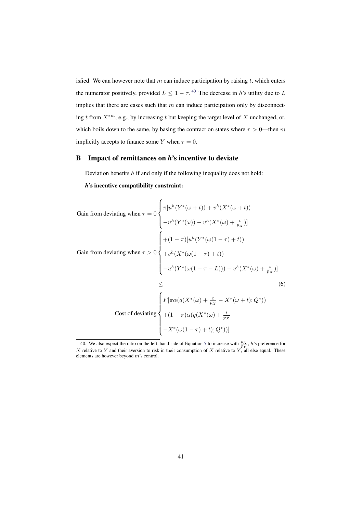isfied. We can however note that  $m$  can induce participation by raising  $t$ , which enters the numerator positively, provided  $L \leq 1 - \tau$ .<sup>[40](#page-41-1)</sup> The decrease in h's utility due to L implies that there are cases such that  $m$  can induce participation only by disconnecting t from  $X^{*m}$ , e.g., by increasing t but keeping the target level of X unchanged, or, which boils down to the same, by basing the contract on states where  $\tau > 0$ —then m implicitly accepts to finance some Y when  $\tau = 0$ .

#### <span id="page-41-0"></span>B Impact of remittances on *h*'s incentive to deviate

Deviation benefits  $h$  if and only if the following inequality does not hold:

<span id="page-41-2"></span>*h*'s incentive compatibility constraint:

Gain from deviating when 
$$
\tau = 0
$$
  
\n
$$
\begin{cases}\n\pi[u^h(Y^*(\omega+t)) + v^h(X^*(\omega+t)) \\
-u^h(Y^*(\omega)) - v^h(X^*(\omega) + \frac{t}{p_X})]\n\end{cases}
$$
\nGain from deviating when  $\tau > 0$   
\n
$$
\begin{cases}\n+(1-\pi)[u^h(Y^*(\omega(1-\tau)+t)) \\
+v^h(X^*(\omega(1-\tau)+t)) \\
-u^h(Y^*(\omega(1-\tau-L))) - v^h(X^*(\omega) + \frac{t}{p_X})]\n\end{cases}
$$
\n
$$
\leq \qquad (6)
$$
\nCost of deviating\n
$$
\begin{cases}\nF[\pi\alpha(q(X^*(\omega) + \frac{t}{p_X} - X^*(\omega+t);Q^*)) \\
+(1-\pi)\alpha(q(X^*(\omega) + \frac{t}{p_X} - X^*(\omega+t);Q^*))\n\end{cases}
$$

<span id="page-41-1"></span><sup>40.</sup> We also expect the ratio on the left-hand side of Equation [5](#page-40-2) to increase with  $\frac{p_X}{p_Y}$ , h's preference for X relative to Y and their aversion to risk in their consumption of X relative to Y, all else equal. These elements are however beyond m's control.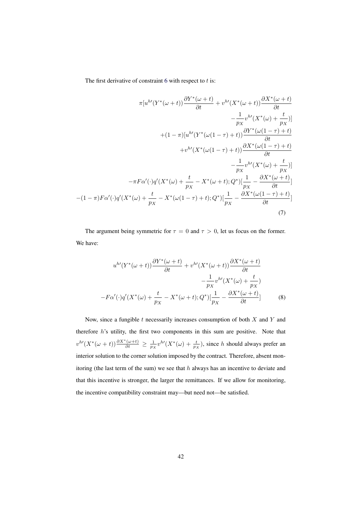The first derivative of constraint  $6$  with respect to  $t$  is:

$$
\pi[u^{h'}(Y^*(\omega+t))\frac{\partial Y^*(\omega+t)}{\partial t} + v^{h'}(X^*(\omega+t))\frac{\partial X^*(\omega+t)}{\partial t} - \frac{1}{p_X}v^{h'}(X^*(\omega) + \frac{t}{p_X})]
$$

$$
+ (1 - \pi)[u^{h'}(Y^*(\omega(1 - \tau) + t))\frac{\partial Y^*(\omega(1 - \tau) + t)}{\partial t} + v^{h'}(X^*(\omega(1 - \tau) + t))\frac{\partial X^*(\omega(1 - \tau) + t)}{\partial t} - \frac{1}{p_X}v^{h'}(X^*(\omega) + \frac{t}{p_X})]
$$

$$
- \pi F \alpha'(\cdot) q'(X^*(\omega) + \frac{t}{p_X} - X^*(\omega + t); Q^*)[\frac{1}{p_X} - \frac{\partial X^*(\omega + t)}{\partial t}]
$$

$$
- (1 - \pi)F \alpha'(\cdot) q'(X^*(\omega) + \frac{t}{p_X} - X^*(\omega(1 - \tau) + t); Q^*)[\frac{1}{p_X} - \frac{\partial X^*(\omega(1 - \tau) + t)}{\partial t}]
$$
(7)

The argument being symmetric for  $\tau = 0$  and  $\tau > 0$ , let us focus on the former. We have:

$$
u^{h'}(Y^*(\omega+t))\frac{\partial Y^*(\omega+t)}{\partial t} + v^{h'}(X^*(\omega+t))\frac{\partial X^*(\omega+t)}{\partial t} - \frac{1}{p_X}v^{h'}(X^*(\omega)+\frac{t}{p_X})
$$

$$
-F\alpha'(\cdot)q'(X^*(\omega)+\frac{t}{p_X}-X^*(\omega+t);Q^*)[\frac{1}{p_X}-\frac{\partial X^*(\omega+t)}{\partial t}] \tag{8}
$$

Now, since a fungible  $t$  necessarily increases consumption of both  $X$  and  $Y$  and therefore  $h$ 's utility, the first two components in this sum are positive. Note that  $v^{h'}(X^*(\omega+t))\frac{\partial X^*(\omega+t)}{\partial t} \geq \frac{1}{p_X}v^{h'}(X^*(\omega)+\frac{t}{p_X}),$  since h should always prefer an interior solution to the corner solution imposed by the contract. Therefore, absent monitoring (the last term of the sum) we see that  $h$  always has an incentive to deviate and that this incentive is stronger, the larger the remittances. If we allow for monitoring, the incentive compatibility constraint may—but need not—be satisfied.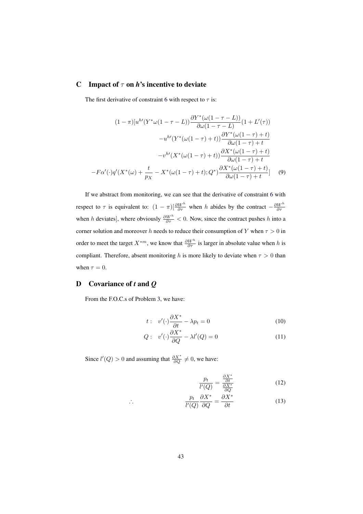#### <span id="page-43-1"></span>C Impact of  $\tau$  on *h*'s incentive to deviate

The first derivative of constraint [6](#page-41-2) with respect to  $\tau$  is:

$$
(1 - \pi)[u^{h'}(Y^*\omega(1 - \tau - L))\frac{\partial Y^*(\omega(1 - \tau - L))}{\partial \omega(1 - \tau - L)}(1 + L'(\tau))
$$

$$
-u^{h'}(Y^*(\omega(1 - \tau) + t))\frac{\partial Y^*(\omega(1 - \tau) + t)}{\partial \omega(1 - \tau) + t}
$$

$$
-v^{h'}(X^*(\omega(1 - \tau) + t))\frac{\partial X^*(\omega(1 - \tau) + t)}{\partial \omega(1 - \tau) + t}
$$

$$
-F\alpha'(\cdot)q'(X^*(\omega) + \frac{t}{p_X} - X^*(\omega(1 - \tau) + t); Q^*)\frac{\partial X^*(\omega(1 - \tau) + t)}{\partial \omega(1 - \tau) + t}] \tag{9}
$$

If we abstract from monitoring, we can see that the derivative of constraint [6](#page-41-2) with respect to  $\tau$  is equivalent to:  $(1 - \pi) \left[ \frac{\partial W^h}{\partial \tau} \right]$  when h abides by the contract  $-\frac{\partial W^h}{\partial \tau}$ when h deviates], where obviously  $\frac{\partial W^h}{\partial \tau} < 0$ . Now, since the contract pushes h into a corner solution and moreover h needs to reduce their consumption of Y when  $\tau > 0$  in order to meet the target  $X^{*m}$ , we know that  $\frac{\partial W^h}{\partial \tau}$  is larger in absolute value when h is compliant. Therefore, absent monitoring h is more likely to deviate when  $\tau > 0$  than when  $\tau = 0$ .

#### <span id="page-43-0"></span>D Covariance of *t* and *Q*

From the F.O.C.s of Problem [3,](#page-13-2) we have:

∴

$$
t: v'(\cdot)\frac{\partial X^*}{\partial t} - \lambda p_t = 0 \tag{10}
$$

$$
Q: v'(\cdot)\frac{\partial X^*}{\partial Q} - \lambda l'(Q) = 0
$$
\n(11)

Since  $l'(Q) > 0$  and assuming that  $\frac{\partial X^*}{\partial Q} \neq 0$ , we have:

$$
\frac{p_t}{l'(Q)} = \frac{\frac{\partial X^*}{\partial t}}{\frac{\partial X^*}{\partial Q}}
$$
(12)

$$
\frac{p_t}{l'(Q)} \frac{\partial X^*}{\partial Q} = \frac{\partial X^*}{\partial t} \tag{13}
$$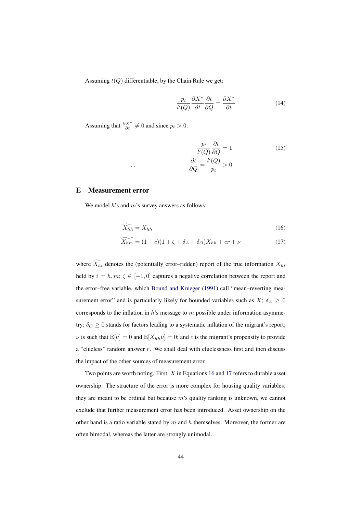Assuming  $t(Q)$  differentiable, by the Chain Rule we get:

$$
\frac{p_t}{l'(Q)} \frac{\partial X^*}{\partial t} \frac{\partial t}{\partial Q} = \frac{\partial X^*}{\partial t}
$$
(14)

Assuming that  $\frac{\partial X^*}{\partial t} \neq 0$  and since  $p_t > 0$ :

∴

<span id="page-44-2"></span>
$$
\frac{p_t}{l'(Q)}\frac{\partial t}{\partial Q} = 1\tag{15}
$$
\n
$$
\frac{\partial t}{\partial Q} = \frac{l'(Q)}{p_t} > 0
$$

#### <span id="page-44-0"></span>E Measurement error

We model  $h$ 's and  $m$ 's survey answers as follows:

<span id="page-44-1"></span>
$$
\widetilde{X_{hh}} = X_{hh} \tag{16}
$$

$$
\widetilde{X_{hm}} = (1 - c)(1 + \zeta + \delta_A + \delta_O)X_{hh} + cr + \nu \tag{17}
$$

where  $\widetilde{X_{hi}}$  denotes the (potentially error–ridden) report of the true information  $X_{hi}$ held by  $i = h, m; \zeta \in [-1, 0]$  captures a negative correlation between the report and the error–free variable, which [Bound and Krueger](#page-36-9) [\(1991\)](#page-36-9) call "mean–reverting measurement error" and is particularly likely for bounded variables such as  $X$ ;  $\delta_A \geq 0$ corresponds to the inflation in  $h$ 's message to  $m$  possible under information asymmetry;  $\delta_O \geq 0$  stands for factors leading to a systematic inflation of the migrant's report;  $\nu$  is such that  $E[\nu] = 0$  and  $E[X_{hh}\nu] = 0$ ; and c is the migrant's propensity to provide a "clueless" random answer  $r$ . We shall deal with cluelessness first and then discuss the impact of the other sources of measurement error.

Two points are worth noting. First,  $X$  in Equations [16](#page-44-2) and [17](#page-44-1) refers to durable asset ownership. The structure of the error is more complex for housing quality variables; they are meant to be ordinal but because  $m$ 's quality ranking is unknown, we cannot exclude that further measurement error has been introduced. Asset ownership on the other hand is a ratio variable stated by  $m$  and  $h$  themselves. Moreover, the former are often bimodal, whereas the latter are strongly unimodal.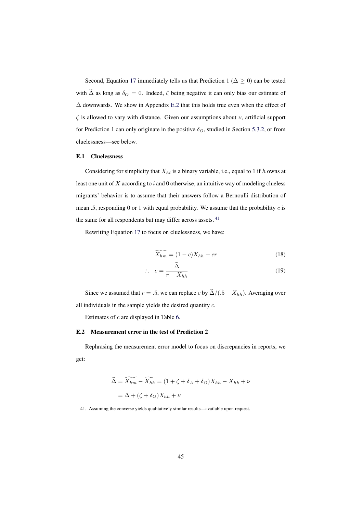Second, Equation [17](#page-44-1) immediately tells us that Prediction 1 ( $\Delta \ge 0$ ) can be tested with  $\tilde{\Delta}$  as long as  $\delta_O = 0$ . Indeed,  $\zeta$  being negative it can only bias our estimate of ∆ downwards. We show in Appendix [E.2](#page-45-1) that this holds true even when the effect of  $\zeta$  is allowed to vary with distance. Given our assumptions about  $\nu$ , artificial support for Prediction 1 can only originate in the positive  $\delta_O$ , studied in Section [5.3.2,](#page-25-0) or from cluelessness—see below.

#### <span id="page-45-0"></span>E.1 Cluelessness

Considering for simplicity that  $X_{hi}$  is a binary variable, i.e., equal to 1 if h owns at least one unit of  $X$  according to  $i$  and  $0$  otherwise, an intuitive way of modeling clueless migrants' behavior is to assume that their answers follow a Bernoulli distribution of mean .5, responding 0 or 1 with equal probability. We assume that the probability  $c$  is the same for all respondents but may differ across assets. <sup>[41](#page-45-2)</sup>

Rewriting Equation [17](#page-44-1) to focus on cluelessness, we have:

$$
\widetilde{X_{hm}} = (1 - c)X_{hh} + cr \tag{18}
$$

$$
\therefore c = \frac{\Delta}{r - X_{hh}}
$$
 (19)

Since we assumed that  $r = .5$ , we can replace c by  $\tilde{\Delta}/(.5 - X_{hh})$ . Averaging over all individuals in the sample yields the desired quantity c.

Estimates of c are displayed in Table [6.](#page-24-0)

#### <span id="page-45-1"></span>E.2 Measurement error in the test of Prediction 2

Rephrasing the measurement error model to focus on discrepancies in reports, we get:

$$
\widetilde{\Delta} = \widetilde{X_{hh}} - \widetilde{X_{hh}} = (1 + \zeta + \delta_A + \delta_O)X_{hh} - X_{hh} + \nu
$$

$$
= \Delta + (\zeta + \delta_O)X_{hh} + \nu
$$

<span id="page-45-2"></span><sup>41.</sup> Assuming the converse yields qualitatively similar results—available upon request.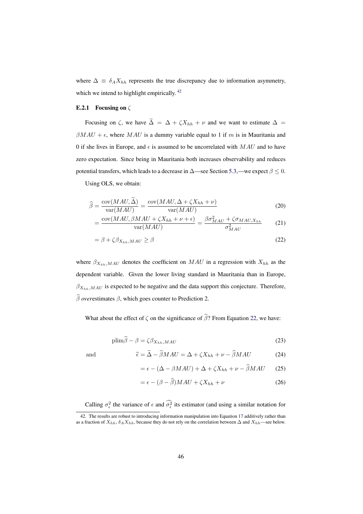where  $\Delta \equiv \delta_A X_{hh}$  represents the true discrepancy due to information asymmetry, which we intend to highlight empirically.<sup>[42](#page-46-0)</sup>

#### E.2.1 Focusing on  $\zeta$

Focusing on  $\zeta$ , we have  $\widetilde{\Delta} = \Delta + \zeta X_{hh} + \nu$  and we want to estimate  $\Delta =$  $\beta MAU + \epsilon$ , where MAU is a dummy variable equal to 1 if m is in Mauritania and 0 if she lives in Europe, and  $\epsilon$  is assumed to be uncorrelated with  $MAU$  and to have zero expectation. Since being in Mauritania both increases observability and reduces potential transfers, which leads to a decrease in  $\Delta$ —see Section [5.3,](#page-20-0)—we expect  $\beta \leq 0$ .

Using OLS, we obtain:

$$
\widehat{\beta} = \frac{\text{cov}(MAU, \widehat{\Delta})}{\text{var}(MAU)} = \frac{\text{cov}(MAU, \Delta + \zeta X_{hh} + \nu)}{\text{var}(MAU)} \tag{20}
$$

<span id="page-46-2"></span>
$$
= \frac{\text{cov}(MAU, \beta MAU + \zeta X_{hh} + \nu + \epsilon)}{\text{var}(MAU)} = \frac{\beta \sigma_{MAU}^2 + \zeta \sigma_{MAU, X_{hh}}}{\sigma_{MAU}^2} \tag{21}
$$

<span id="page-46-1"></span>
$$
= \beta + \zeta \beta_{X_{hh},MAU} \ge \beta \tag{22}
$$

where  $\beta_{X_{hh},MAU}$  denotes the coefficient on  $MAU$  in a regression with  $X_{hh}$  as the dependent variable. Given the lower living standard in Mauritania than in Europe,  $\beta_{X_{hh},MAU}$  is expected to be negative and the data support this conjecture. Therefore,  $\widehat{\beta}$  *over* estimates  $\beta$ , which goes counter to Prediction 2.

What about the effect of  $\zeta$  on the significance of  $\hat{\beta}$ ? From Equation [22,](#page-46-1) we have:

$$
\text{plim}\hat{\beta} - \beta = \zeta \beta_{X_{hh},MAU} \tag{23}
$$

and 
$$
\widehat{\epsilon} = \Delta - \beta MAU = \Delta + \zeta X_{hh} + \nu - \beta MAU \tag{24}
$$

$$
= \epsilon - (\Delta - \beta MAU) + \Delta + \zeta X_{hh} + \nu - \widehat{\beta} MAU \tag{25}
$$

$$
= \epsilon - (\beta - \widehat{\beta})MAU + \zeta X_{hh} + \nu \tag{26}
$$

<span id="page-46-0"></span>Calling  $\sigma_{\epsilon}^2$  the variance of  $\epsilon$  and  $\sigma_{\epsilon}^2$  its estimator (and using a similar notation for

<sup>42.</sup> The results are robust to introducing information manipulation into Equation [17](#page-44-1) additively rather than as a fraction of  $X_{hh}$ ,  $\delta_A X_{hh}$ , because they do not rely on the correlation between  $\Delta$  and  $X_{hh}$ —see below.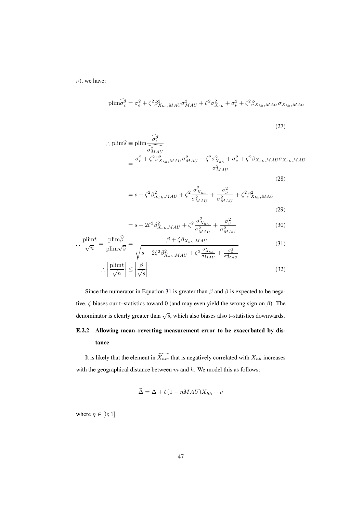$\nu$ ), we have:

$$
\text{plim}\widehat{\sigma_{\epsilon}^{2}} = \sigma_{\epsilon}^{2} + \zeta^{2} \beta_{X_{hh},MAU}^{2} \sigma_{MAU}^{2} + \zeta^{2} \sigma_{X_{hh}}^{2} + \sigma_{\nu}^{2} + \zeta^{2} \beta_{X_{hh},MAU} \sigma_{X_{hh},MAU}
$$

<span id="page-47-0"></span>
$$
(27)
$$

$$
\therefore \text{plim}\hat{s} \equiv \text{plim}\frac{\widehat{\sigma_{\epsilon}^2}}{\sigma_{MAU}^2}
$$
\n
$$
= \frac{\sigma_{\epsilon}^2 + \zeta^2 \beta_{X_{hh},MAU}^2 \sigma_{MAU}^2 + \zeta^2 \sigma_{X_{hh}}^2 + \sigma_{\nu}^2 + \zeta^2 \beta_{X_{hh},MAU} \sigma_{X_{hh},MAU}}{\sigma_{MAU}^2}
$$
\n(28)

$$
= s + \zeta^2 \beta_{X_{hh},MAU}^2 + \zeta^2 \frac{\sigma_{X_{hh}}^2}{\sigma_{MAU}^2} + \frac{\sigma_{\nu}^2}{\sigma_{MAU}^2} + \zeta^2 \beta_{X_{hh},MAU}^2
$$
\n(29)

$$
= s + 2\zeta^2 \beta_{X_{hh},MAU}^2 + \zeta^2 \frac{\sigma_{X_{hh}}^2}{\sigma_{MAU}^2} + \frac{\sigma_{\nu}^2}{\sigma_{MAU}^2}
$$
(30)

$$
\therefore \frac{\text{plim}t}{\sqrt{n}} = \frac{\text{plim}\beta}{\text{plim}\sqrt{\hat{s}}} = \frac{\beta + \zeta\beta_{X_{hh},MAU}}{\sqrt{s + 2\zeta^2\beta_{X_{hh},MAU}^2 + \zeta^2\frac{\sigma_{X_{hh}}^2}{\sigma_{MAU}^2} + \frac{\sigma_{\nu}^2}{\sigma_{MAU}^2}}}
$$
(31)

$$
\therefore \left| \frac{\text{plim}t}{\sqrt{n}} \right| \le \left| \frac{\beta}{\sqrt{s}} \right| \tag{32}
$$

Since the numerator in Equation [31](#page-47-0) is greater than  $\beta$  and  $\beta$  is expected to be negative,  $\zeta$  biases our t–statistics toward 0 (and may even yield the wrong sign on  $\beta$ ). The denominator is clearly greater than  $\sqrt{s}$ , which also biases also t–statistics downwards.

### E.2.2 Allowing mean–reverting measurement error to be exacerbated by distance

It is likely that the element in  $\widetilde{X_{hm}}$  that is negatively correlated with  $X_{hh}$  increases with the geographical distance between  $m$  and  $h$ . We model this as follows:

$$
\widetilde{\Delta} = \Delta + \zeta (1 - \eta MAU) X_{hh} + \nu
$$

where  $\eta \in [0;1]$ .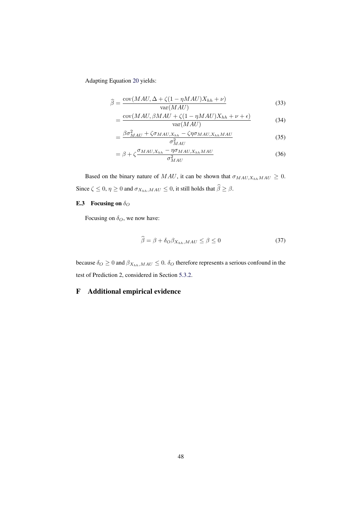Adapting Equation [20](#page-46-2) yields:

$$
\widehat{\beta} = \frac{\text{cov}(MAU, \Delta + \zeta(1 - \eta MAU)X_{hh} + \nu)}{\text{var}(MAU)}\tag{33}
$$

$$
=\frac{\text{cov}(MAU, \beta MAU + \zeta(1 - \eta MAU)X_{hh} + \nu + \epsilon)}{\text{var}(MAU)}\tag{34}
$$

$$
=\frac{\beta\sigma_{MAU}^{2}+\zeta\sigma_{MAU,X_{hh}}-\zeta\eta\sigma_{MAU,X_{hh}MAU}}{\sigma_{MAU}^{2}}
$$
\n(35)

$$
= \beta + \zeta \frac{\sigma_{MAU,X_{hh}} - \eta \sigma_{MAU,X_{hh}MAU}}{\sigma_{MAU}^2}
$$
\n(36)

Based on the binary nature of MAU, it can be shown that  $\sigma_{MAU,X_{hh}MAU} \geq 0$ . Since  $\zeta \leq 0$ ,  $\eta \geq 0$  and  $\sigma_{X_{hh},MAU} \leq 0$ , it still holds that  $\widehat{\beta} \geq \beta$ .

#### E.3 Focusing on  $\delta_O$

Focusing on  $\delta_O$ , we now have:

$$
\beta = \beta + \delta_O \beta_{X_{hh},MAU} \le \beta \le 0 \tag{37}
$$

because  $\delta_O \geq 0$  and  $\beta_{X_{hh},MAU} \leq 0$ .  $\delta_O$  therefore represents a serious confound in the test of Prediction 2, considered in Section [5.3.2.](#page-25-0)

#### <span id="page-48-0"></span>F Additional empirical evidence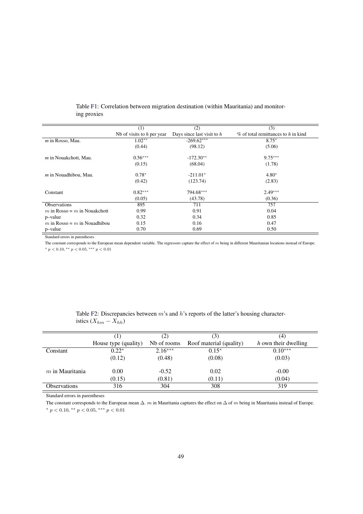|                                | (1)                          | (2)                          | (3)                                    |
|--------------------------------|------------------------------|------------------------------|----------------------------------------|
|                                | Nb of visits to $h$ per year | Days since last visit to $h$ | $\%$ of total remittances to h in kind |
| $m$ in Rosso, Mau.             | $1.02**$                     | $-269.62***$                 | $8.75*$                                |
|                                | (0.44)                       | (98.12)                      | (5.06)                                 |
| $m$ in Nouakchott, Mau.        | $0.56***$                    | $-172.30**$                  | $9.75***$                              |
|                                | (0.15)                       | (68.04)                      | (1.78)                                 |
| $m$ in Nouadhibou, Mau.        | $0.78*$                      | $-211.01*$                   | $4.80*$                                |
|                                | (0.42)                       | (123.74)                     | (2.83)                                 |
| Constant                       | $0.82***$                    | 794.68***                    | $2.49***$                              |
|                                | (0.05)                       | (43.78)                      | (0.36)                                 |
| <b>Observations</b>            | 895                          | 711                          | 757                                    |
| m in Rosso = $m$ in Nouakchott | 0.99                         | 0.91                         | 0.04                                   |
| p-value                        | 0.32                         | 0.34                         | 0.85                                   |
| m in Rosso = $m$ in Nouadhibou | 0.15                         | 0.16                         | 0.47                                   |
| p-value                        | 0.70                         | 0.69                         | 0.50                                   |

<span id="page-49-0"></span>Table [F1](#page-48-0): Correlation between migration destination (within Mauritania) and monitoring proxies

Standard errors in parentheses

The constant corresponds to the European mean dependent variable. The regressors capture the effect of  $m$  being in different Mauritanian locations instead of Europe.  $*$   $p$  < 0.10,  $*$   $*$   $p$  < 0.05,  $*$   $*$   $*$   $p$  < 0.01

|                     | 1                    | (2)         |                         | (4)                  |
|---------------------|----------------------|-------------|-------------------------|----------------------|
|                     | House type (quality) | Nb of rooms | Roof material (quality) | h own their dwelling |
| Constant            | $0.22*$              | $2.16***$   | $0.15*$                 | $0.10***$            |
|                     | (0.12)               | (0.48)      | (0.08)                  | (0.03)               |
| $m$ in Mauritania   | 0.00                 | $-0.52$     | 0.02                    | $-0.00$              |
|                     | (0.15)               | (0.81)      | (0.11)                  | (0.04)               |
| <b>Observations</b> | 316                  | 304         | 308                     | 319                  |

<span id="page-49-1"></span>Table [F2](#page-48-0): Discrepancies between m's and h's reports of the latter's housing characteristics  $(X_{hm} - \hat{X_{hh}})$ 

Standard errors in parentheses

The constant corresponds to the European mean  $\Delta$ .  $m$  in Mauritania captures the effect on  $\Delta$  of  $m$  being in Mauritania instead of Europe. \*  $p < 0.10$ , \*\*  $p < 0.05$ , \*\*\*  $p < 0.01$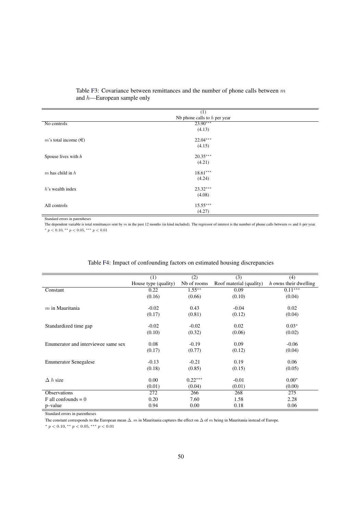|                          | (1)                            |  |
|--------------------------|--------------------------------|--|
|                          | Nb phone calls to $h$ per year |  |
| No controls              | $23.90***$                     |  |
|                          | (4.13)                         |  |
| m's total income $(\in)$ | $22.04***$                     |  |
|                          | (4.15)                         |  |
| Spouse lives with $h$    | $20.35***$                     |  |
|                          | (4.21)                         |  |
| $m$ has child in $h$     | $18.61***$                     |  |
|                          | (4.24)                         |  |
| $h$ 's wealth index      | $23.32***$                     |  |
|                          | (4.08)                         |  |
| All controls             | $15.55***$                     |  |
|                          | (4.27)                         |  |

#### <span id="page-50-0"></span>Table [F3](#page-48-0): Covariance between remittances and the number of phone calls between  $m$ and h—European sample only

Standard errors in parentheses

The dependent variable is total remittances sent by m in the past 12 months (in kind included). The regressor of interest is the number of phone calls between m and h per year.  $*$   $p$  < 0.10,  $*$   $*$   $p$  < 0.05,  $*$   $*$   $*$   $p$  < 0.01

|                                     | (1)                  | (2)         | (3)                     | (4)                   |
|-------------------------------------|----------------------|-------------|-------------------------|-----------------------|
|                                     | House type (quality) | Nb of rooms | Roof material (quality) | h owns their dwelling |
| Constant                            | 0.22                 | $1.55***$   | 0.09                    | $0.11***$             |
|                                     | (0.16)               | (0.66)      | (0.10)                  | (0.04)                |
| $m$ in Mauritania                   |                      |             |                         |                       |
|                                     | $-0.02$              | 0.43        | $-0.04$                 | 0.02                  |
|                                     | (0.17)               | (0.81)      | (0.12)                  | (0.04)                |
| Standardized time gap               | $-0.02$              | $-0.02$     | 0.02                    | $0.03*$               |
|                                     | (0.10)               | (0.32)      | (0.06)                  | (0.02)                |
| Enumerator and interviewee same sex | 0.08                 | $-0.19$     | 0.09                    | $-0.06$               |
|                                     | (0.17)               | (0.77)      | (0.12)                  | (0.04)                |
| <b>Enumerator Senegalese</b>        | $-0.13$              | $-0.21$     | 0.19                    | 0.06                  |
|                                     | (0.18)               | (0.85)      | (0.15)                  | (0.05)                |
| $\Delta h$ size                     | 0.00                 | $0.22***$   | $-0.01$                 | $0.00*$               |
|                                     | (0.01)               | (0.04)      | (0.01)                  | (0.00)                |
| <b>Observations</b>                 | 272                  | 266         | 268                     | 275                   |
| $F$ all confounds = 0               | 0.20                 | 7.60        | 1.58                    | 2.28                  |
| p-value                             | 0.94                 | 0.00        | 0.18                    | 0.06                  |

#### <span id="page-50-1"></span>Table [F4](#page-48-0): Impact of confounding factors on estimated housing discrepancies

Standard errors in parentheses

The constant corresponds to the European mean  $\Delta$ . m in Mauritania captures the effect on  $\Delta$  of m being in Mauritania instead of Europe.

 $*$  p < 0.10,  $*$  p < 0.05,  $*$   $*$  p < 0.01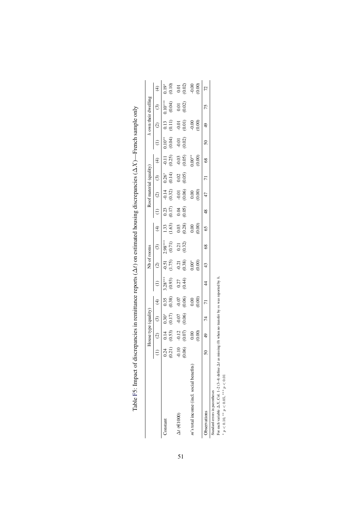|                                          |                   |                   | louse type (quality |                                             |                     | Nb of rooms            |                     |                                             |                  |                     | Roof material (quality) |                   |                     |                   | town their dwelling   |                                      |
|------------------------------------------|-------------------|-------------------|---------------------|---------------------------------------------|---------------------|------------------------|---------------------|---------------------------------------------|------------------|---------------------|-------------------------|-------------------|---------------------|-------------------|-----------------------|--------------------------------------|
|                                          |                   |                   | $\odot$             | $\widehat{\mathcal{F}}$                     |                     | $\widehat{c}$          | $\odot$             | E                                           |                  | $\widehat{c}$       | $\odot$                 |                   |                     |                   | $\odot$               | $\bigcirc$                           |
| Constant                                 | (0.21)<br>0.24    | (0.53)            | $0.17)$<br>$0.30*$  | $\begin{array}{c} 0.35 \\ 0.38 \end{array}$ | $3.28***$<br>(0.93) | (1.75)<br>$-0.51$      | $2.98***$<br>(0.71) | $\frac{13}{1.69}$                           | $(0.17)$<br>0.23 | $(0.32)$<br>$-0.14$ | (0.14)<br>$0.26*$       | (0.25)            | $0.10**$<br>(0.04)  | (0.11)<br>0.13    | $0.10***$<br>$(0.04)$ | $0.19*$<br>$(0.10)$                  |
| $\Delta t$ ( $\in$ 1000)                 | (0.06)<br>$-0.10$ | $-0.12$<br>(0.07) | $-0.07$<br>0.06     | $-0.07$<br>0.06)                            | 0.27<br>0.44)       | $-0.21$<br>$(0.38)$    | $\frac{0.21}{0.32}$ | $\begin{array}{c} 0.03 \\ 0.28 \end{array}$ | 0.05             | $-0.01$<br>(0.06)   | $\frac{0.02}{0.05}$     | $-0.03$<br>(0.05) | $-0.01$<br>$(0.02)$ | $-0.01$<br>(0.01) | $0.01$<br>$(0.02)$    |                                      |
| m's total income (incl. social benefits) |                   | 0.00<br>S.        |                     | $0.00$<br>$0.00$                            |                     | $0.00^{*}$<br>$(0.00)$ |                     | $0.00$<br>$0.00$                            |                  | 0.00<br>(0.00)      |                         | $0.00^{**}$       |                     | $-0.00$           |                       | $0.02$<br>$0.02$<br>$0.00$<br>$0.00$ |
| Observations                             | ᢦ                 |                   | 74                  |                                             | $\overline{4}$      | 43                     | $\frac{8}{3}$       | 65                                          | 48               |                     |                         | $\frac{8}{3}$     |                     |                   | 75                    |                                      |
|                                          |                   |                   |                     |                                             |                     |                        |                     |                                             |                  |                     |                         |                   |                     |                   |                       |                                      |

<span id="page-51-0"></span>

| ;                                                                                                                                |
|----------------------------------------------------------------------------------------------------------------------------------|
|                                                                                                                                  |
|                                                                                                                                  |
|                                                                                                                                  |
| $\frac{1}{2}$                                                                                                                    |
|                                                                                                                                  |
|                                                                                                                                  |
| j                                                                                                                                |
| ı<br>ļ<br>ı                                                                                                                      |
|                                                                                                                                  |
|                                                                                                                                  |
| i<br> <br>                                                                                                                       |
|                                                                                                                                  |
|                                                                                                                                  |
|                                                                                                                                  |
|                                                                                                                                  |
|                                                                                                                                  |
|                                                                                                                                  |
| l                                                                                                                                |
|                                                                                                                                  |
|                                                                                                                                  |
| ï                                                                                                                                |
| l                                                                                                                                |
| Į                                                                                                                                |
|                                                                                                                                  |
|                                                                                                                                  |
|                                                                                                                                  |
|                                                                                                                                  |
|                                                                                                                                  |
|                                                                                                                                  |
|                                                                                                                                  |
|                                                                                                                                  |
|                                                                                                                                  |
|                                                                                                                                  |
|                                                                                                                                  |
| $\sim 2.5$                                                                                                                       |
|                                                                                                                                  |
| l                                                                                                                                |
|                                                                                                                                  |
|                                                                                                                                  |
| ś                                                                                                                                |
| l                                                                                                                                |
| i                                                                                                                                |
|                                                                                                                                  |
|                                                                                                                                  |
|                                                                                                                                  |
|                                                                                                                                  |
|                                                                                                                                  |
|                                                                                                                                  |
| $\frac{1}{2}$                                                                                                                    |
| ĺ                                                                                                                                |
|                                                                                                                                  |
|                                                                                                                                  |
|                                                                                                                                  |
|                                                                                                                                  |
|                                                                                                                                  |
|                                                                                                                                  |
|                                                                                                                                  |
| ì                                                                                                                                |
|                                                                                                                                  |
|                                                                                                                                  |
| i                                                                                                                                |
| l                                                                                                                                |
|                                                                                                                                  |
| المستخدم المستخدم المستخدم المستخدم المستخدم المستخدم المستخدم المستخدم المستخدم المستخدم المستخدم المستخدم ال<br>$\overline{a}$ |
|                                                                                                                                  |
|                                                                                                                                  |
| $\frac{1}{2}$                                                                                                                    |
| $\frac{1}{2}$<br>Tabl                                                                                                            |

Standard errors in parentheses

Standard errors in parentheses<br>Standard errors in parentheses<br>For each variable  $\Delta X$ , Co1. 1–2 (3–4) define  $\Delta t$  as missing (0) when no transfer by  $m$  was reported by  $h$ .<br>\*  $p < 0.10$ , \*\*  $p < 0.05$ , \*\*\*  $p < 0.01$ For each variable ∆X, Col. 1–2 (3–4) define ∆t as missing (0) when no transfer by m was reported by h. ∗

\*  $p < 0.10$ , \*\*  $p < 0.05$ , \*\*\*  $p < 0.01$